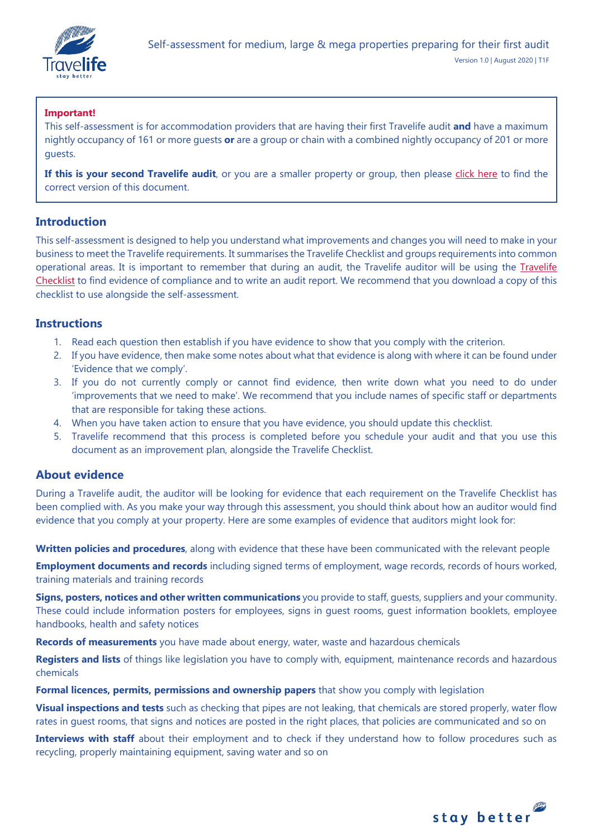

## **Important!**

This self-assessment is for accommodation providers that are having their first Travelife audit **and** have a maximum nightly occupancy of 161 or more guests **or** are a group or chain with a combined nightly occupancy of 201 or more guests.

**If this is your second Travelife audit**, or you are a smaller property or group, then please [click here](https://travelifestaybetter.com/your-audit/) to find the correct version of this document.

## **Introduction**

This self-assessment is designed to help you understand what improvements and changes you will need to make in your business to meet the Travelife requirements. It summarises the Travelife Checklist and groups requirements into common operational areas. It is important to remember that during an audit, the Travelife auditor will be using the [Travelife](https://travelifestaybetter.com/travelife-standard-checklists/)  [Checklist](https://travelifestaybetter.com/travelife-standard-checklists/) to find evidence of compliance and to write an audit report. We recommend that you download a copy of this checklist to use alongside the self-assessment.

## **Instructions**

- 1. Read each question then establish if you have evidence to show that you comply with the criterion.
- 2. If you have evidence, then make some notes about what that evidence is along with where it can be found under 'Evidence that we comply'.
- 3. If you do not currently comply or cannot find evidence, then write down what you need to do under 'improvements that we need to make'. We recommend that you include names of specific staff or departments that are responsible for taking these actions.
- 4. When you have taken action to ensure that you have evidence, you should update this checklist.
- 5. Travelife recommend that this process is completed before you schedule your audit and that you use this document as an improvement plan, alongside the Travelife Checklist.

## **About evidence**

During a Travelife audit, the auditor will be looking for evidence that each requirement on the Travelife Checklist has been complied with. As you make your way through this assessment, you should think about how an auditor would find evidence that you comply at your property. Here are some examples of evidence that auditors might look for:

**Written policies and procedures**, along with evidence that these have been communicated with the relevant people

**Employment documents and records** including signed terms of employment, wage records, records of hours worked, training materials and training records

**Signs, posters, notices and other written communications** you provide to staff, guests, suppliers and your community. These could include information posters for employees, signs in guest rooms, guest information booklets, employee handbooks, health and safety notices

**Records of measurements** you have made about energy, water, waste and hazardous chemicals

**Registers and lists** of things like legislation you have to comply with, equipment, maintenance records and hazardous chemicals

**Formal licences, permits, permissions and ownership papers** that show you comply with legislation

**Visual inspections and tests** such as checking that pipes are not leaking, that chemicals are stored properly, water flow rates in guest rooms, that signs and notices are posted in the right places, that policies are communicated and so on

**Interviews with staff** about their employment and to check if they understand how to follow procedures such as recycling, properly maintaining equipment, saving water and so on

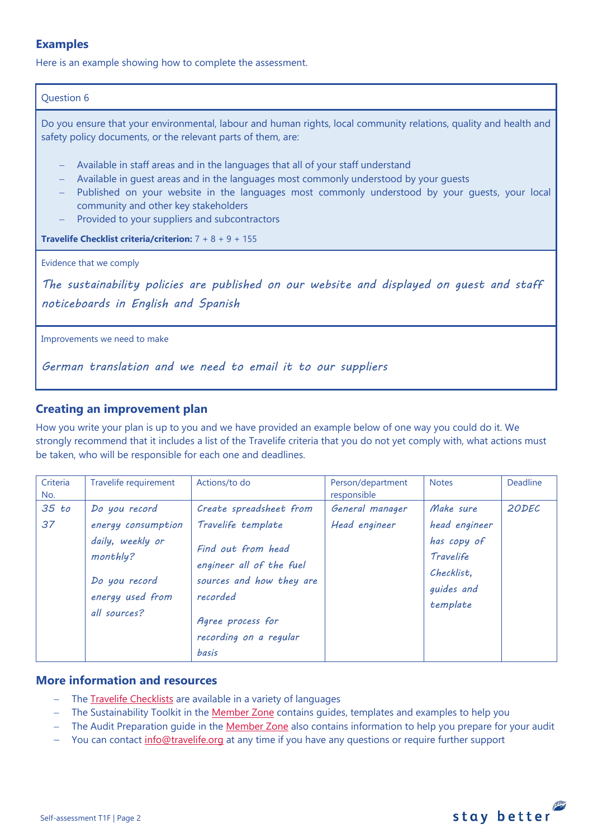# **Examples**

Here is an example showing how to complete the assessment.

### Question 6

Do you ensure that your environmental, labour and human rights, local community relations, quality and health and safety policy documents, or the relevant parts of them, are:

- − Available in staff areas and in the languages that all of your staff understand
- − Available in quest areas and in the languages most commonly understood by your quests
- − Published on your website in the languages most commonly understood by your guests, your local community and other key stakeholders
- Provided to your suppliers and subcontractors

**Travelife Checklist criteria/criterion:** 7 + 8 + 9 + 155

Evidence that we comply

*The sustainability policies are published on our website and displayed on guest and staff noticeboards in English and Spanish* 

Improvements we need to make

*German translation and we need to email it to our suppliers*

# **Creating an improvement plan**

How you write your plan is up to you and we have provided an example below of one way you could do it. We strongly recommend that it includes a list of the Travelife criteria that you do not yet comply with, what actions must be taken, who will be responsible for each one and deadlines.

| Criteria<br>No. | Travelife requirement                                                                                                    | Actions/to do                                                                                                                                                                          | Person/department<br>responsible | <b>Notes</b>                                                                                   | Deadline |
|-----------------|--------------------------------------------------------------------------------------------------------------------------|----------------------------------------------------------------------------------------------------------------------------------------------------------------------------------------|----------------------------------|------------------------------------------------------------------------------------------------|----------|
| 35 to<br>37     | Do you record<br>energy consumption<br>daily, weekly or<br>monthly?<br>Do you record<br>energy used from<br>all sources? | Create spreadsheet from<br>Travelife template<br>Find out from head<br>engineer all of the fuel<br>sources and how they are<br>recorded<br>Agree process for<br>recording on a regular | General manager<br>Head engineer | Make sure<br>head engineer<br>has copy of<br>Travelife<br>Checklist.<br>guides and<br>template | 20DEC    |
|                 |                                                                                                                          | basis                                                                                                                                                                                  |                                  |                                                                                                |          |

# **More information and resources**

- − The [Travelife Checklists](https://travelifestaybetter.com/travelife-standard-checklists/) are available in a variety of languages
- − The Sustainability Toolkit in the [Member Zone](https://travelifestaybetter.com/accommodation-member-zone/) contains guides, templates and examples to help you
- − The Audit Preparation guide in the [Member Zone](https://travelifestaybetter.com/accommodation-member-zone/) also contains information to help you prepare for your audit
- You can contact [info@travelife.org](mailto:info@travelife.org) at any time if you have any questions or require further support

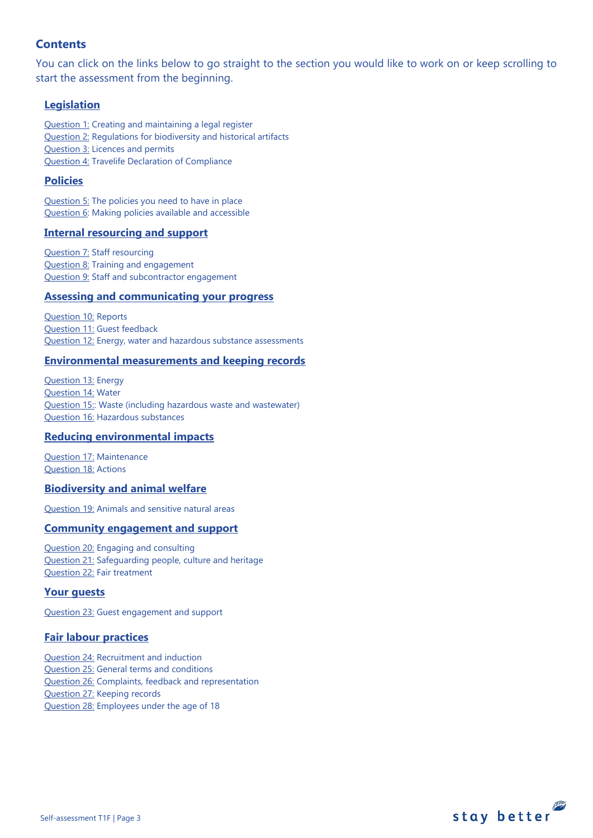# **Contents**

You can click on the links below to go straight to the section you would like to work on or keep scrolling to start the assessment from the beginning.

## **[Legislation](#page-3-0)**

[Question 1:](#page-3-1) Creating and maintaining a legal register [Question 2:](#page-3-2) Regulations for biodiversity and historical artifacts [Question 3:](#page-4-0) Licences and permits [Question 4:](#page-4-1) Travelife Declaration of Compliance

## **[Policies](#page-5-0)**

[Question 5:](#page-5-1) The policies you need to have in place [Question 6:](#page-8-0) Making policies available and accessible

## **[Internal resourcing and support](#page-9-0)**

**[Question 7:](#page-9-0) Staff resourcing** [Question 8:](#page-10-0) Training and engagement [Question 9:](#page-10-1) Staff and subcontractor engagement

#### **[Assessing and communicating your progress](#page-10-1)**

[Question 10:](#page-11-0) Reports [Question 11:](#page-13-0) Guest feedback [Question 12:](#page-13-1) Energy, water and hazardous substance assessments

### **[Environmental measurements and keeping records](#page-14-0)**

[Question 13:](#page-14-1) Energy [Question 14:](#page-15-0) Water [Question 15::](#page-16-0) Waste (including hazardous waste and wastewater) [Question 16:](#page-18-0) Hazardous substances

## **[Reducing environmental impacts](#page-20-0)**

[Question 17:](#page-20-1) Maintenance [Question 18:](#page-21-0) Actions

### **[Biodiversity and animal welfare](#page-23-0)**

[Question 19:](#page-23-1) Animals and sensitive natural areas

### **[Community engagement](#page-24-0) and support**

[Question 20:](#page-24-1) Engaging and consulting [Question 21:](#page-25-0) Safeguarding people, culture and heritage [Question 22:](#page-26-0) Fair treatment

### **[Your guests](#page-26-1)**

[Question 23:](#page-26-2) Guest engagement and support

### **[Fair labour practices](#page-27-0)**

[Question 24:](#page-28-0) Recruitment and induction [Question 25:](#page-28-1) General terms and conditions [Question 26:](#page-30-0) Complaints, feedback and representation [Question 27:](#page-31-0) Keeping records [Question 28:](#page-31-1) Employees under the age of 18

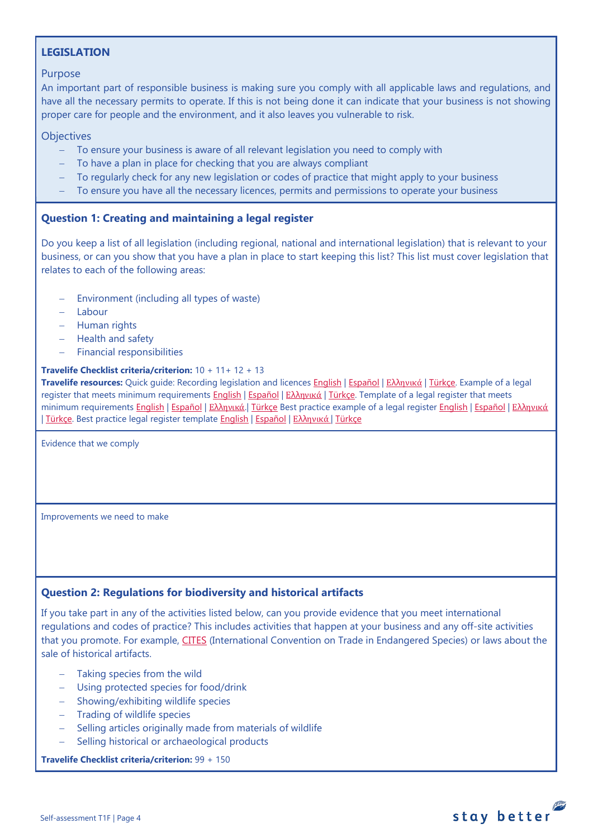# <span id="page-3-0"></span>**LEGISLATION**

### Purpose

An important part of responsible business is making sure you comply with all applicable laws and regulations, and have all the necessary permits to operate. If this is not being done it can indicate that your business is not showing proper care for people and the environment, and it also leaves you vulnerable to risk.

## **Objectives**

- To ensure your business is aware of all relevant legislation you need to comply with
- To have a plan in place for checking that you are always compliant
- − To regularly check for any new legislation or codes of practice that might apply to your business
- − To ensure you have all the necessary licences, permits and permissions to operate your business

# <span id="page-3-1"></span>**Question 1: Creating and maintaining a legal register**

Do you keep a list of all legislation (including regional, national and international legislation) that is relevant to your business, or can you show that you have a plan in place to start keeping this list? This list must cover legislation that relates to each of the following areas:

- Environment (including all types of waste)
- − Labour
- − Human rights
- − Health and safety
- − Financial responsibilities

### **Travelife Checklist criteria/criterion:** 10 + 11+ 12 + 13

**Travelife resources:** Quick guide: Recording legislation and licences [English](https://travelifestaybetter.com/wp-content/uploads/2019/02/1-Quick-Guide-Recording-Legislation-and-Licenses.pdf) | [Español](https://travelifestaybetter.com/wp-content/uploads/2019/02/1-ES-Quick-Guide-Recording-Legislation-and-Licenses.pdf) | Ελλ[ηνικά](https://travelifestaybetter.com/wp-content/uploads/2020/02/21-Quick-Guide-Recording-Legislation-and-Licenses-GR.pdf) | [Türkçe.](https://travelifestaybetter.com/wp-content/uploads/2020/12/1-Quick-Guide-Recording-Legislation-and-Licenses-TR-Hizli-Kilavuz-Mevzuat-ve-Lisanslarin-Kayit-Edilmesi.pdf) Example of a legal register that meets minimum requirements [English](https://travelifestaybetter.com/wp-content/uploads/2019/02/1-Example-Legal-Register-Minimum-Requirements.docx.pdf) | [Español](https://travelifestaybetter.com/wp-content/uploads/2019/02/1-ES-Example-Legal-Register.pdf) | Ελλ[ηνικά](https://travelifestaybetter.com/wp-content/uploads/2020/02/23-Example-Legal-Register-GR.pdf) | [Türkçe.](https://travelifestaybetter.com/wp-content/uploads/2020/12/1-Example-Legal-Register-TR-Ornek-Yasal-Kayit.pdf) Template of a legal register that meets minimum requirements [English](https://travelifestaybetter.com/wp-content/uploads/2020/12/1-Example-Legal-Register-Excellence-V1.1.pdf) | [Español](https://travelifestaybetter.com/wp-content/uploads/2020/12/1-ES-Example-Legal-Register-Excellence-V1.1.pdf) | Ελλ[ηνικά](https://travelifestaybetter.com/wp-content/uploads/2020/12/1-Example-Legal-Register-Excellence-V1.1-GR.pdf). | [Türkçe](https://travelifestaybetter.com/wp-content/uploads/2020/12/1-Template-Legal-Register-Minimum-Requirements-TR-Sablon-Yasal-Kayit-Minimum-Gereksinimler.docx) Best practice example of a legal register English | Español | Ελληνικά | [Türkçe.](https://travelifestaybetter.com/wp-content/uploads/2020/12/1-Example-Legal-Register-Excellence-TR-Ornek-Yasal-Kayit-En-iyi-Uygulama.pdf) Best practice legal register template [English](https://travelifestaybetter.com/wp-content/uploads/2019/02/1-Template-Legal-Register-Best-Practice.docx) | [Español](https://travelifestaybetter.com/wp-content/uploads/2019/02/1-ES-Template-Legal-Register-Best-Practice.docx) | Ελλ[ηνικά](https://travelifestaybetter.com/wp-content/uploads/2020/02/24-Template-Legal-Register-Best-Practice-GR.docx) | [Türkçe](https://travelifestaybetter.com/wp-content/uploads/2020/12/1-Template-Legal-Register-Best-Practice-TR-Sablon-Yasal-Kayit-En-Iyi-Uygulama.docx)

Evidence that we comply

Improvements we need to make

## <span id="page-3-2"></span>**Question 2: Regulations for biodiversity and historical artifacts**

If you take part in any of the activities listed below, can you provide evidence that you meet international regulations and codes of practice? This includes activities that happen at your business and any off-site activities that you promote. For example, [CITES](https://cites.org/) (International Convention on Trade in Endangered Species) or laws about the sale of historical artifacts.

- Taking species from the wild
- − Using protected species for food/drink
- − Showing/exhibiting wildlife species
- − Trading of wildlife species
- − Selling articles originally made from materials of wildlife
- − Selling historical or archaeological products

**Travelife Checklist criteria/criterion:** 99 + 150

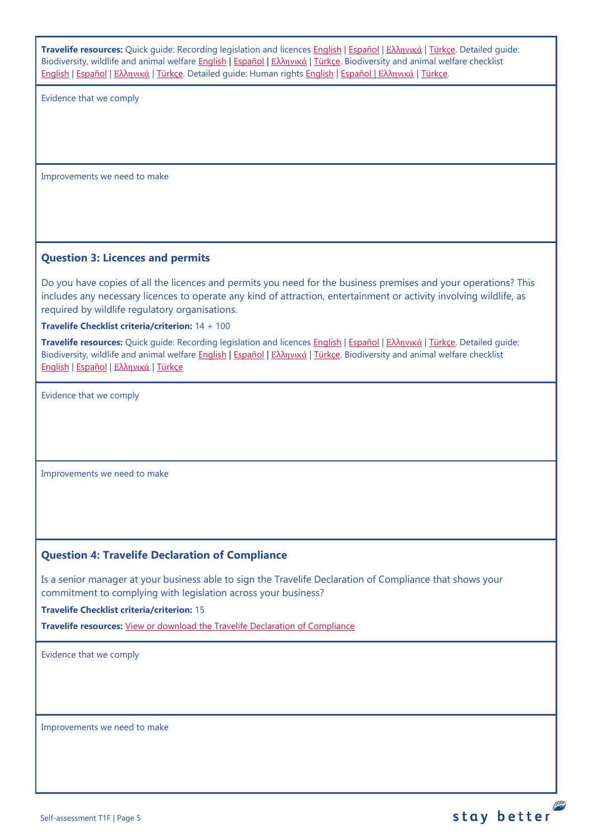<span id="page-4-1"></span><span id="page-4-0"></span>

| Travelife resources: Quick quide: Recording legislation and licences English   Español   E $\lambda$ hyuká   Türkçe. Detailed quide:<br>Biodiversity, wildlife and animal welfare English   Español   Ελληνικά   Türkce. Biodiversity and animal welfare checklist<br>English   Español   Ελληνικά   Türkçe. Detailed guide: Human rights English   Español   Ελληνικά   Türkçe. |
|----------------------------------------------------------------------------------------------------------------------------------------------------------------------------------------------------------------------------------------------------------------------------------------------------------------------------------------------------------------------------------|
| Evidence that we comply                                                                                                                                                                                                                                                                                                                                                          |
|                                                                                                                                                                                                                                                                                                                                                                                  |
|                                                                                                                                                                                                                                                                                                                                                                                  |
|                                                                                                                                                                                                                                                                                                                                                                                  |
| Improvements we need to make                                                                                                                                                                                                                                                                                                                                                     |
|                                                                                                                                                                                                                                                                                                                                                                                  |
|                                                                                                                                                                                                                                                                                                                                                                                  |
|                                                                                                                                                                                                                                                                                                                                                                                  |
| <b>Question 3: Licences and permits</b>                                                                                                                                                                                                                                                                                                                                          |
| Do you have copies of all the licences and permits you need for the business premises and your operations? This<br>includes any necessary licences to operate any kind of attraction, entertainment or activity involving wildlife, as<br>required by wildlife regulatory organisations.                                                                                         |
| Travelife Checklist criteria/criterion: 14 + 100                                                                                                                                                                                                                                                                                                                                 |
| Travelife resources: Quick guide: Recording legislation and licences English   Español   Eλληνικά   Türkçe. Detailed guide:<br>Biodiversity, wildlife and animal welfare English   Español   Ελληνικά   Türkçe. Biodiversity and animal welfare checklist<br>English   Español   Ελληνικά   Türkçe                                                                               |
| Evidence that we comply                                                                                                                                                                                                                                                                                                                                                          |
|                                                                                                                                                                                                                                                                                                                                                                                  |
|                                                                                                                                                                                                                                                                                                                                                                                  |
|                                                                                                                                                                                                                                                                                                                                                                                  |
| Improvements we need to make                                                                                                                                                                                                                                                                                                                                                     |
|                                                                                                                                                                                                                                                                                                                                                                                  |
|                                                                                                                                                                                                                                                                                                                                                                                  |
|                                                                                                                                                                                                                                                                                                                                                                                  |
| <b>Question 4: Travelife Declaration of Compliance</b>                                                                                                                                                                                                                                                                                                                           |
| Is a senior manager at your business able to sign the Travelife Declaration of Compliance that shows your                                                                                                                                                                                                                                                                        |
| commitment to complying with legislation across your business?                                                                                                                                                                                                                                                                                                                   |
| <b>Travelife Checklist criteria/criterion: 15</b>                                                                                                                                                                                                                                                                                                                                |
| Travelife resources: View or download the Travelife Declaration of Compliance                                                                                                                                                                                                                                                                                                    |
| Evidence that we comply                                                                                                                                                                                                                                                                                                                                                          |
|                                                                                                                                                                                                                                                                                                                                                                                  |
|                                                                                                                                                                                                                                                                                                                                                                                  |
| Improvements we need to make                                                                                                                                                                                                                                                                                                                                                     |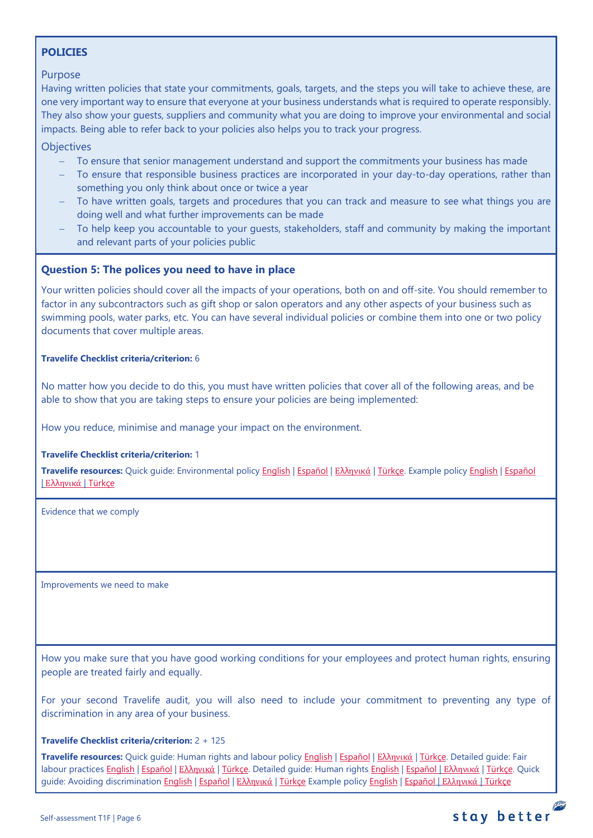# <span id="page-5-0"></span>**POLICIES**

### Purpose

Having written policies that state your commitments, goals, targets, and the steps you will take to achieve these, are one very important way to ensure that everyone at your business understands what is required to operate responsibly. They also show your guests, suppliers and community what you are doing to improve your environmental and social impacts. Being able to refer back to your policies also helps you to track your progress.

**Objectives** 

- − To ensure that senior management understand and support the commitments your business has made
- To ensure that responsible business practices are incorporated in your day-to-day operations, rather than something you only think about once or twice a year
- To have written goals, targets and procedures that you can track and measure to see what things you are doing well and what further improvements can be made
- To help keep you accountable to your guests, stakeholders, staff and community by making the important and relevant parts of your policies public

## <span id="page-5-1"></span>**Question 5: The polices you need to have in place**

Your written policies should cover all the impacts of your operations, both on and off-site. You should remember to factor in any subcontractors such as gift shop or salon operators and any other aspects of your business such as swimming pools, water parks, etc. You can have several individual policies or combine them into one or two policy documents that cover multiple areas.

#### **Travelife Checklist criteria/criterion:** 6

No matter how you decide to do this, you must have written policies that cover all of the following areas, and be able to show that you are taking steps to ensure your policies are being implemented:

How you reduce, minimise and manage your impact on the environment.

### **Travelife Checklist criteria/criterion:** 1

**Travelife resources:** Quick guide: Environmental policy [English](https://travelifestaybetter.com/wp-content/uploads/2019/02/3-Quick-Guide-Environmental-Policy.pdf) | [Español](https://travelifestaybetter.com/wp-content/uploads/2019/02/3-ES-Quick-Guide-Environmental-Policy.pdf) | Ελλ[ηνικά](https://travelifestaybetter.com/wp-content/uploads/2020/02/30-Quick-Guide-Environmental-Policy-GR.pdf) | [Türkçe.](https://travelifestaybetter.com/wp-content/uploads/2020/12/3-Quick-Guide-Environmental-Policy-TR-Hizli-Kilavuz-Cevre-Politikasi.pdf) Example polic[y English](https://travelifestaybetter.com/wp-content/uploads/2019/02/3-Example-Environmental-Policy.pdf) | [Español](https://travelifestaybetter.com/wp-content/uploads/2019/02/3-ES-Example-Environmental-Policy.pdf) | Ελλ[ηνικά](https://travelifestaybetter.com/wp-content/uploads/2020/07/31-Example-Environmental-Policy-GR.pdf) | [Türkçe](https://travelifestaybetter.com/wp-content/uploads/2020/12/3-Example-Environmental-Policy-TR-Ornek-Cevre-Politikasi.pdf)

Evidence that we comply

Improvements we need to make

How you make sure that you have good working conditions for your employees and protect human rights, ensuring people are treated fairly and equally.

For your second Travelife audit, you will also need to include your commitment to preventing any type of discrimination in any area of your business.

#### **Travelife Checklist criteria/criterion:** 2 + 125

**Travelife resources:** Quick guide: Human rights and labour policy [English](https://travelifestaybetter.com/wp-content/uploads/2019/02/8-Quick-Guide-Labour-and-Human-Rights-Policy.pdf) | [Español](https://travelifestaybetter.com/wp-content/uploads/2019/02/8-ES-Quick-Guide-Labour-and-Human-Rights-Policy.pdf) | Ελλ[ηνικά](https://travelifestaybetter.com/wp-content/uploads/2020/07/35-Quick-Guide-Labour-and-Human-Rights-Policy-GR.pdf) | [Türkçe.](https://travelifestaybetter.com/wp-content/uploads/2020/08/8-Quick-Guide-Labour-and-Human-Rights-Policy-TR-8-Hizli-Kilavuz-Isci-ve-Insan-Haklari-Politikasi.pdf) Detailed guide: Fair labour practices [English](https://travelifestaybetter.com/wp-content/uploads/2021/01/8-Detailed-Guide-Human-Rights.pdf) | [Español](https://travelifestaybetter.com/wp-content/uploads/2021/01/8-ES-Detailed-Guide-Human-Rights.pdf) | Ελλ[ηνικά](https://travelifestaybetter.com/wp-content/uploads/2021/01/8-GR-Detailed-Guide-Human-Rights.pdf) | [Türkçe.](https://travelifestaybetter.com/wp-content/uploads/2021/01/10-Detailed-Guide-Fair-Labour-Practices-TR-Adil-Is-Gucu-Uygulamalari-Detayli-Kilavuz.pdf) Detailed quide: Human rights English | Español | Ελληνικά | [Türkçe.](https://travelifestaybetter.com/wp-content/uploads/2021/01/8-Detailed-Guide-Human-Rights-TR-Insan-Haklari-Detayli-Kilavuz.pdf) Quick guide: Avoiding discriminatio[n English](https://travelifestaybetter.com/wp-content/uploads/2019/02/13-Quick-Guide-Avoiding-Workplace-Discrimination.pdf) | [Español](https://travelifestaybetter.com/wp-content/uploads/2019/02/13-ES-Quick-Guide-Avoiding-Workplace-Discrimination.pdf) | Ελλ[ηνικά](https://travelifestaybetter.com/wp-content/uploads/2020/07/38-Quick-Guide-Avoiding-Workplace-Discrimination-GR.pdf) | [Türkçe](https://travelifestaybetter.com/wp-content/uploads/2020/10/13-Quick-Guide-Avoiding-Workplace-Discrimination-TR-Isyerinde-Ayrimciligi-Onlemek-icin-Hizli-Kilavuz.pdf) Example policy [English](https://travelifestaybetter.com/wp-content/uploads/2021/06/10-Example-Labour-and-Human-Rights-Policy.pdf) | [Español](https://travelifestaybetter.com/wp-content/uploads/2021/06/8-ES-Example-Labour-Human-Rights-Policy.pdf) | [Ελληνικά](https://travelifestaybetter.com/wp-content/uploads/2021/08/10-Example-Labour-and-Human-Rights-Policy-GR.pdf) | [Türkçe](https://travelifestaybetter.com/wp-content/uploads/2021/06/10-Example-Labour-and-Human-Rights-Policy-TR-Ornek-Calisan-ve-Insan-Haklari-Politikasi.pdf)

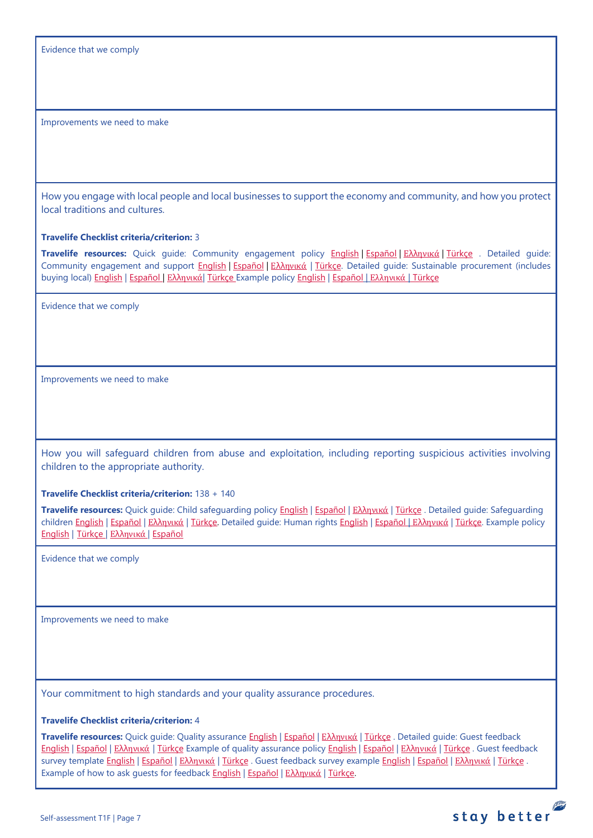Evidence that we comply

Improvements we need to make

How you engage with local people and local businesses to support the economy and community, and how you protect local traditions and cultures.

**Travelife Checklist criteria/criterion:** 3

**Travelife resources:** Quick guide: Community engagement policy [English](https://travelifestaybetter.com/wp-content/uploads/2019/02/7-Quick-Guide-Community-Engagement.pdf) | [Español](https://travelifestaybetter.com/wp-content/uploads/2019/02/7-ES-Quick-Guide-Community-Engagement.pdf) | Ελλ[ηνικά](https://travelifestaybetter.com/wp-content/uploads/2020/07/34-Quick-Guide-Community-Engagement-GR.pdf) | [Türkçe](https://travelifestaybetter.com/wp-content/uploads/2020/08/7-Quick-Guide-Community-Engagement-TR-7-Hizli-Kilavuz-Toplum-Uyum-Politikasi.pdf) . Detailed guide: Community engagement and support [English](https://travelifestaybetter.com/wp-content/uploads/2019/02/7-Detailed-Guide-Community-Engagement.pdf) | Εspañol | Ελλ[ηνικά](https://travelifestaybetter.com/wp-content/uploads/2020/11/7-GR-Detailed-Guide-Community-Engagement.pdf) | [Türkçe.](https://travelifestaybetter.com/wp-content/uploads/2021/01/7-Detailed-Guide-Community-Engagement-TR-Toplum-Katilimi-ve-Destegi-Detayli-Kilavuz.pdf) Detailed guide: Sustainable procurement (includes buying local[\) English](https://travelifestaybetter.com/wp-content/uploads/2019/02/22-Detailed-Guide-Sustainable-Procurement.pdf) | [Español](https://travelifestaybetter.com/wp-content/uploads/2019/03/22-ES-Detailed-Guide-Sustainable-Procurement.pdf) | Ελλ[ηνικά](https://travelifestaybetter.com/wp-content/uploads/2021/01/22-GR-Detailed-Guide-Sustainable-Procurement.pdf)| [Türkçe](https://travelifestaybetter.com/wp-content/uploads/2021/01/22-Detailed-Guide-Sustainable-Procurement-TR-Surdurulebilir-Tedarik-Detayli-Kilavuz.pdf) Example polic[y English](https://travelifestaybetter.com/wp-content/uploads/2021/06/7-Example-Community-engagement-Policy.pdf) | [Español](https://travelifestaybetter.com/wp-content/uploads/2021/06/7-ES-Example-Community-Engagement-Policy.pdf) | [Ελληνικά](https://travelifestaybetter.com/wp-content/uploads/2021/08/7-Example-Community-engagement-policy-GR.pdf) | [Türkçe](https://travelifestaybetter.com/wp-content/uploads/2021/06/7-Example-Community-engagement-Policy-TR-Ornek-Toplum-Uyum-Politikasi.pdf)

Evidence that we comply

Improvements we need to make

How you will safeguard children from abuse and exploitation, including reporting suspicious activities involving children to the appropriate authority.

**Travelife Checklist criteria/criterion:** 138 + 140

**Travelife resources:** Quick guide: Child safeguarding policy [English](https://travelifestaybetter.com/wp-content/uploads/2020/06/14-Quick-Guide-Child-Safeguarding.pdf) | [Español](https://travelifestaybetter.com/wp-content/uploads/2019/02/14-ES-Quick-Guide-Safeguarding-Children.pdf) | Ελλ[ηνικά](https://travelifestaybetter.com/wp-content/uploads/2020/07/39-Quick-Guide-Child-Safeguarding-GR.pdf) | [Türkçe](https://travelifestaybetter.com/wp-content/uploads/2020/10/14-Quick-Guide-Child-Safeguarding-TR-Cocuklarin-Korunmasi-icin-Hizli-Kilavuz.pdf) . Detailed guide: Safeguarding childre[n English](https://travelifestaybetter.com/wp-content/uploads/2019/02/14-Detailed-Guide-Safeguarding-Children.pdf) | Εspañol | Ελλ[ηνικά](https://travelifestaybetter.com/wp-content/uploads/2021/01/8-GR-Detailed-Guide-Human-Rights.pdf) | Türkce. Detailed guide: Human rights [English](https://travelifestaybetter.com/wp-content/uploads/2021/01/8-Detailed-Guide-Human-Rights.pdf) | Εspañol | Ελληνικά | Türkce. Example policy [English](https://travelifestaybetter.com/wp-content/uploads/2021/08/14-Example-Child-Safeguarding-Policy.pdf) | [Türkçe](https://travelifestaybetter.com/wp-content/uploads/2021/08/14-Example-Child-Safeguarding-Policy-TR-14-Ornek-Cocuk-Koruma-Politikasi.pdf) | Ελλ[ηνικά](https://travelifestaybetter.com/wp-content/uploads/2021/08/14-Example-Child-Safeguarding-Policy-GR.pdf) | [Español](https://travelifestaybetter.com/wp-content/uploads/2021/08/14-ES-Example-Child-Safeguarding-Policy.pdf)

Evidence that we comply

Improvements we need to make

Your commitment to high standards and your quality assurance procedures.

#### **Travelife Checklist criteria/criterion:** 4

**Travelife resources:** Quick guide: Quality assurance [English](https://travelifestaybetter.com/wp-content/uploads/2019/02/4-Quick-Guide-Quality-Assurance.pdf) | [Español](https://travelifestaybetter.com/wp-content/uploads/2019/02/4-ES-Quick-Guide-Quality-Assurance.pdf) | Ελλ[ηνικά](https://travelifestaybetter.com/wp-content/uploads/2020/07/32-Quick-Guide-Quality-Assurance-GR.pdf) | [Türkçe](https://travelifestaybetter.com/wp-content/uploads/2020/11/4-Quick-Guide-Quality-Assurance-TR-4-Hizli-Kilavuz-Kalite-Guvence.pdf) . Detailed guide: Guest feedback [English](https://travelifestaybetter.com/wp-content/uploads/2019/02/5-Detailed-Guide-Collecting-Guest-Feedback.pdf) | [Español](https://travelifestaybetter.com/wp-content/uploads/2019/02/5-ES-Detailed-Guide-Collecting-Guest-Feedback.pdf) | Ελλ[ηνικά](https://travelifestaybetter.com/wp-content/uploads/2021/01/5-GR-Detailed-Guide-Collecting-Guest-Feedback.pdf) | [Türkçe](https://travelifestaybetter.com/wp-content/uploads/2021/01/5-Detailed-Guide-Collecting-Guest-Feedback-TR-Misafir-Geri-Bildirimlerini-Toplama-Detayli-Kilavuz.pdf) Example of quality assurance polic[y English](https://travelifestaybetter.com/wp-content/uploads/2019/02/4-Example-Quality-Assurance-Policy.pdf) | [Español](https://travelifestaybetter.com/wp-content/uploads/2019/02/4-ES-Example-Quality-Assurance-Policy.pdf) | Ελλ[ηνικά](https://travelifestaybetter.com/wp-content/uploads/2020/07/33-Example-Quality-Assurance-Policy-GR.pdf) | [Türkçe](https://travelifestaybetter.com/wp-content/uploads/2020/08/4-Example-Quality-Assurance-Policy-TR-4-Ornek-Kalite-Guvence-Politikasi.pdf) . Guest feedback survey template [English](https://travelifestaybetter.com/wp-content/uploads/2019/02/5-Example-Guest-Feedback-Survey.pdf) | [Español](https://travelifestaybetter.com/wp-content/uploads/2019/02/5-ES-Example-Guest-Feedback-Survey.pdf) | Ελλ[ηνικά](https://travelifestaybetter.com/wp-content/uploads/2021/01/5-GR-Example-Guest-Feedback-Survey.pdf) | [Türkçe](https://travelifestaybetter.com/wp-content/uploads/2020/08/5-Example-Guest-Feedback-Survey-TR-5-Ornek-Misafir-Geri-Bildirim-Anketi.pdf) . Guest feedback survey example English | Español | Ελληνικά | Türkçe . Example of how to ask quests for feedback **English | [Español](https://travelifestaybetter.com/wp-content/uploads/2019/02/5-ES-Example-Guest-Feedback-Instructions-for-Guests.pdf) | Ελλ[ηνικά](https://travelifestaybetter.com/wp-content/uploads/2021/01/5-GR-Example-of-Feedback-Instructions-for-Guests.pdf) | [Türkçe.](https://travelifestaybetter.com/wp-content/uploads/2020/08/5-Example-of-Feedback-Insructions-for-Guests-TR-5-Ornek-Misafir-Geri-Bildirim-Talimati.pdf)** 

stay better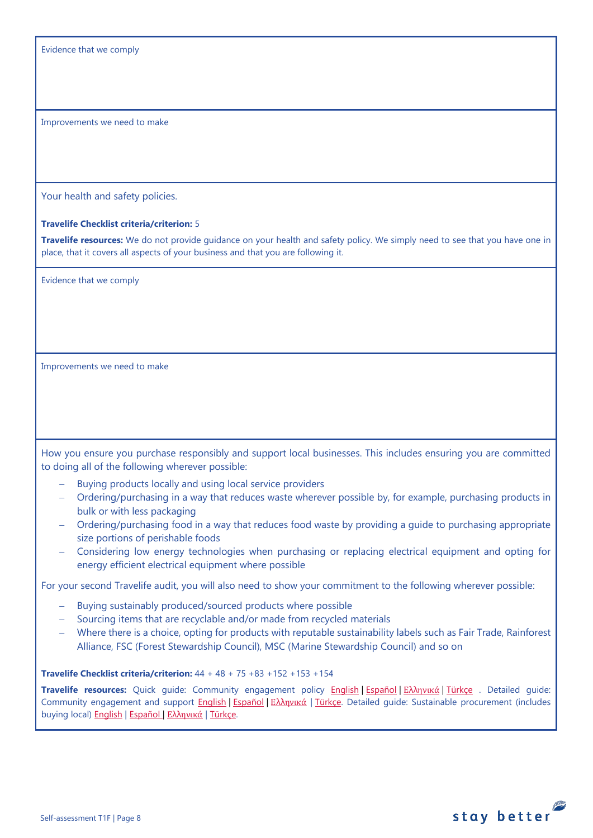Evidence that we comply

Improvements we need to make

Your health and safety policies.

#### **Travelife Checklist criteria/criterion:** 5

**Travelife resources:** We do not provide guidance on your health and safety policy. We simply need to see that you have one in place, that it covers all aspects of your business and that you are following it.

Evidence that we comply

Improvements we need to make

How you ensure you purchase responsibly and support local businesses. This includes ensuring you are committed to doing all of the following wherever possible:

- Buying products locally and using local service providers
- − Ordering/purchasing in a way that reduces waste wherever possible by, for example, purchasing products in bulk or with less packaging
- − Ordering/purchasing food in a way that reduces food waste by providing a guide to purchasing appropriate size portions of perishable foods
- − Considering low energy technologies when purchasing or replacing electrical equipment and opting for energy efficient electrical equipment where possible

For your second Travelife audit, you will also need to show your commitment to the following wherever possible:

- − Buying sustainably produced/sourced products where possible
- Sourcing items that are recyclable and/or made from recycled materials
- − Where there is a choice, opting for products with reputable sustainability labels such as Fair Trade, Rainforest Alliance, FSC (Forest Stewardship Council), MSC (Marine Stewardship Council) and so on

**Travelife Checklist criteria/criterion:** 44 + 48 + 75 +83 +152 +153 +154

**Travelife resources:** Quick guide: Community engagement policy [English](https://travelifestaybetter.com/wp-content/uploads/2019/02/7-Quick-Guide-Community-Engagement.pdf) | [Español](https://travelifestaybetter.com/wp-content/uploads/2019/02/7-ES-Quick-Guide-Community-Engagement.pdf) | Ελλ[ηνικά](https://travelifestaybetter.com/wp-content/uploads/2020/07/34-Quick-Guide-Community-Engagement-GR.pdf) | [Türkçe](https://travelifestaybetter.com/wp-content/uploads/2020/08/7-Quick-Guide-Community-Engagement-TR-7-Hizli-Kilavuz-Toplum-Uyum-Politikasi.pdf) . Detailed guide: Community engagement and support [English](https://travelifestaybetter.com/wp-content/uploads/2019/02/7-Detailed-Guide-Community-Engagement.pdf) | [Español](https://travelifestaybetter.com/wp-content/uploads/2019/02/7-ES-Detailed-Guide-Community-Engagement.pdf) | Ελλ[ηνικά](https://travelifestaybetter.com/wp-content/uploads/2020/11/7-GR-Detailed-Guide-Community-Engagement.pdf) | [Türkçe.](https://travelifestaybetter.com/wp-content/uploads/2021/01/7-Detailed-Guide-Community-Engagement-TR-Toplum-Katilimi-ve-Destegi-Detayli-Kilavuz.pdf) Detailed guide: Sustainable procurement (includes buying local[\) English](https://travelifestaybetter.com/wp-content/uploads/2019/02/22-Detailed-Guide-Sustainable-Procurement.pdf) | [Español](https://travelifestaybetter.com/wp-content/uploads/2019/03/22-ES-Detailed-Guide-Sustainable-Procurement.pdf) | Ελλ[ηνικά](https://travelifestaybetter.com/wp-content/uploads/2021/01/22-GR-Detailed-Guide-Sustainable-Procurement.pdf) | [Türkçe.](https://travelifestaybetter.com/wp-content/uploads/2021/01/22-Detailed-Guide-Sustainable-Procurement-TR-Surdurulebilir-Tedarik-Detayli-Kilavuz.pdf)

stay better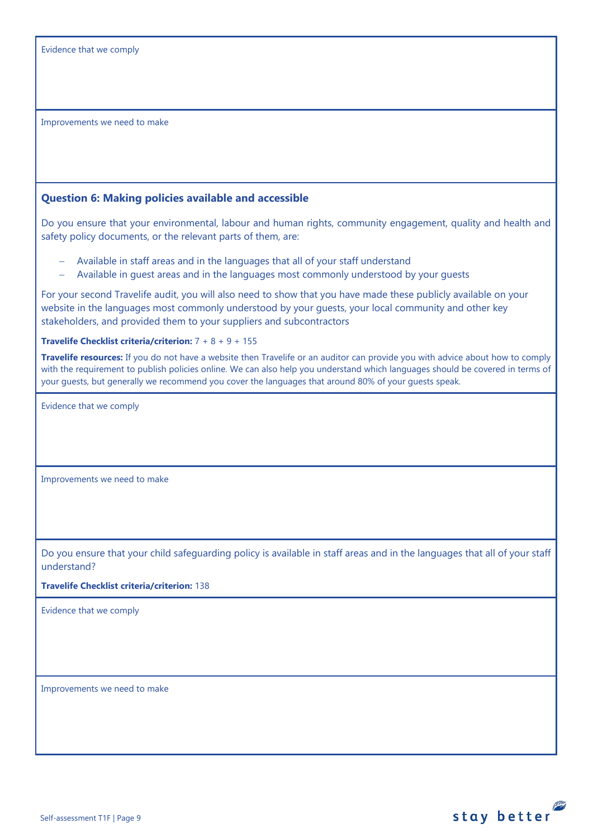Improvements we need to make

# <span id="page-8-0"></span>**Question 6: Making policies available and accessible**

Do you ensure that your environmental, labour and human rights, community engagement, quality and health and safety policy documents, or the relevant parts of them, are:

- − Available in staff areas and in the languages that all of your staff understand
- − Available in guest areas and in the languages most commonly understood by your guests

For your second Travelife audit, you will also need to show that you have made these publicly available on your website in the languages most commonly understood by your guests, your local community and other key stakeholders, and provided them to your suppliers and subcontractors

## **Travelife Checklist criteria/criterion:** 7 + 8 + 9 + 155

**Travelife resources:** If you do not have a website then Travelife or an auditor can provide you with advice about how to comply with the requirement to publish policies online. We can also help you understand which languages should be covered in terms of your guests, but generally we recommend you cover the languages that around 80% of your guests speak.

Evidence that we comply

Improvements we need to make

Do you ensure that your child safeguarding policy is available in staff areas and in the languages that all of your staff understand?

### **Travelife Checklist criteria/criterion:** 138

Evidence that we comply

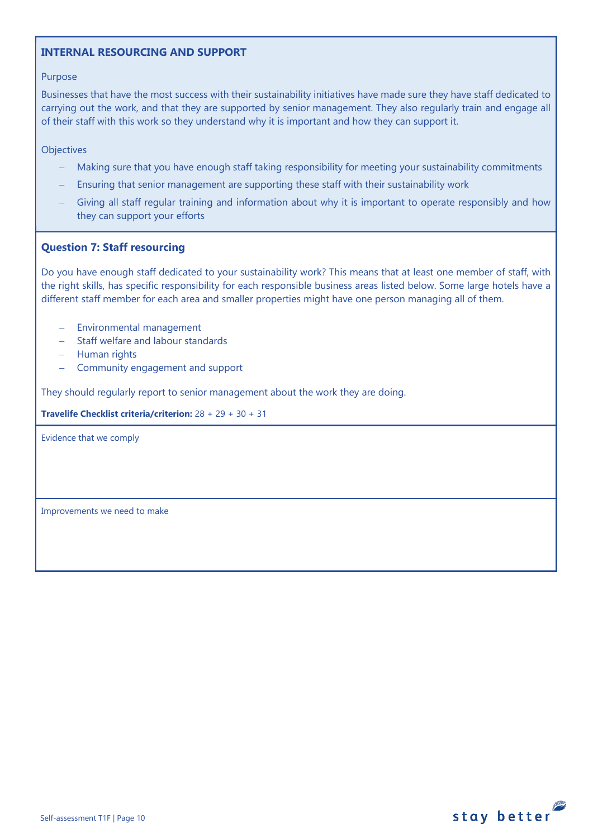## **INTERNAL RESOURCING AND SUPPORT**

#### Purpose

Businesses that have the most success with their sustainability initiatives have made sure they have staff dedicated to carrying out the work, and that they are supported by senior management. They also regularly train and engage all of their staff with this work so they understand why it is important and how they can support it.

**Objectives** 

- Making sure that you have enough staff taking responsibility for meeting your sustainability commitments
- Ensuring that senior management are supporting these staff with their sustainability work
- Giving all staff regular training and information about why it is important to operate responsibly and how they can support your efforts

## **Question 7: Staff resourcing**

Do you have enough staff dedicated to your sustainability work? This means that at least one member of staff, with the right skills, has specific responsibility for each responsible business areas listed below. Some large hotels have a different staff member for each area and smaller properties might have one person managing all of them.

- − Environmental management
- − Staff welfare and labour standards
- − Human rights
- − Community engagement and support

They should regularly report to senior management about the work they are doing.

**Travelife Checklist criteria/criterion:** 28 + 29 + 30 + 31

<span id="page-9-0"></span>Evidence that we comply

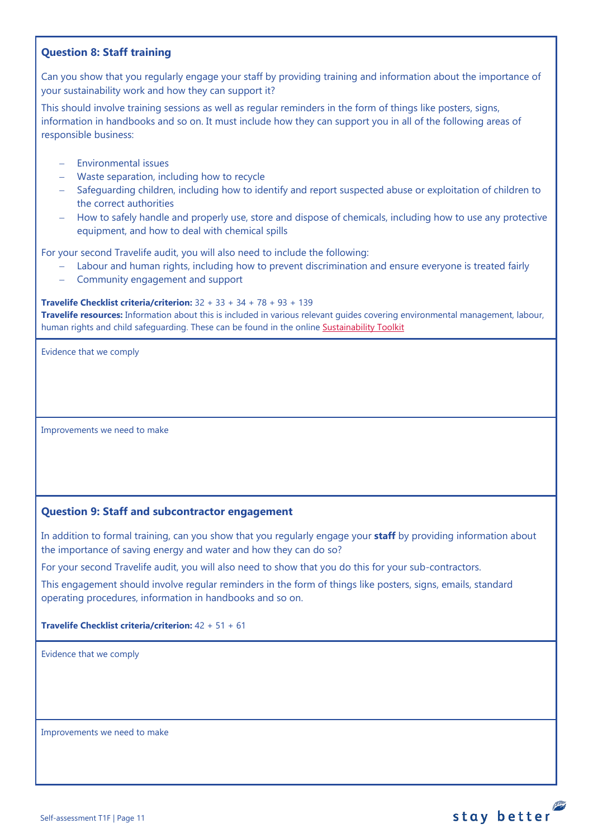# <span id="page-10-0"></span>**Question 8: Staff training**

Can you show that you regularly engage your staff by providing training and information about the importance of your sustainability work and how they can support it?

This should involve training sessions as well as regular reminders in the form of things like posters, signs, information in handbooks and so on. It must include how they can support you in all of the following areas of responsible business:

- − Environmental issues
- − Waste separation, including how to recycle
- − Safeguarding children, including how to identify and report suspected abuse or exploitation of children to the correct authorities
- − How to safely handle and properly use, store and dispose of chemicals, including how to use any protective equipment, and how to deal with chemical spills

For your second Travelife audit, you will also need to include the following:

- Labour and human rights, including how to prevent discrimination and ensure everyone is treated fairly
- − Community engagement and support

#### **Travelife Checklist criteria/criterion:** 32 + 33 + 34 + 78 + 93 + 139

**Travelife resources:** Information about this is included in various relevant guides covering environmental management, labour, human rights and child safeguarding. These can be found in the online [Sustainability Toolkit](https://travelifestaybetter.com/accommodation-member-zone/)

Evidence that we comply

Improvements we need to make

## <span id="page-10-1"></span>**Question 9: Staff and subcontractor engagement**

In addition to formal training, can you show that you regularly engage your **staff** by providing information about the importance of saving energy and water and how they can do so?

For your second Travelife audit, you will also need to show that you do this for your sub-contractors.

This engagement should involve regular reminders in the form of things like posters, signs, emails, standard operating procedures, information in handbooks and so on.

**Travelife Checklist criteria/criterion:** 42 + 51 + 61

Evidence that we comply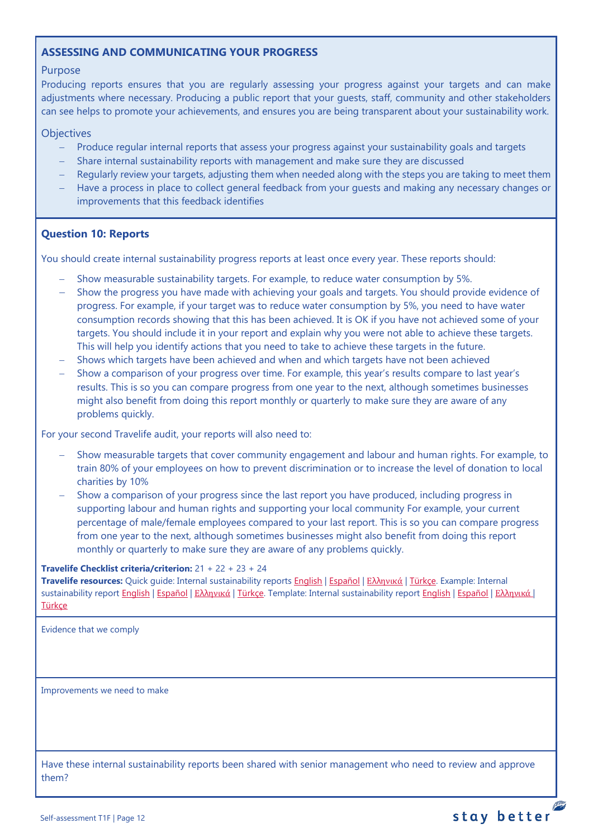# **ASSESSING AND COMMUNICATING YOUR PROGRESS**

## Purpose

Producing reports ensures that you are regularly assessing your progress against your targets and can make adjustments where necessary. Producing a public report that your guests, staff, community and other stakeholders can see helps to promote your achievements, and ensures you are being transparent about your sustainability work.

### **Objectives**

- − Produce regular internal reports that assess your progress against your sustainability goals and targets
- − Share internal sustainability reports with management and make sure they are discussed
- Regularly review your targets, adjusting them when needed along with the steps you are taking to meet them
- Have a process in place to collect general feedback from your guests and making any necessary changes or improvements that this feedback identifies

## <span id="page-11-0"></span>**Question 10: Reports**

You should create internal sustainability progress reports at least once every year. These reports should:

- − Show measurable sustainability targets. For example, to reduce water consumption by 5%.
- Show the progress you have made with achieving your goals and targets. You should provide evidence of progress. For example, if your target was to reduce water consumption by 5%, you need to have water consumption records showing that this has been achieved. It is OK if you have not achieved some of your targets. You should include it in your report and explain why you were not able to achieve these targets. This will help you identify actions that you need to take to achieve these targets in the future.
- Shows which targets have been achieved and when and which targets have not been achieved
- Show a comparison of your progress over time. For example, this year's results compare to last year's results. This is so you can compare progress from one year to the next, although sometimes businesses might also benefit from doing this report monthly or quarterly to make sure they are aware of any problems quickly.

For your second Travelife audit, your reports will also need to:

- Show measurable targets that cover community engagement and labour and human rights. For example, to train 80% of your employees on how to prevent discrimination or to increase the level of donation to local charities by 10%
- Show a comparison of your progress since the last report you have produced, including progress in supporting labour and human rights and supporting your local community For example, your current percentage of male/female employees compared to your last report. This is so you can compare progress from one year to the next, although sometimes businesses might also benefit from doing this report monthly or quarterly to make sure they are aware of any problems quickly.

#### **Travelife Checklist criteria/criterion:** 21 + 22 + 23 + 24

**Travelife resources:** Quick guide: Internal sustainability reports [English](https://travelifestaybetter.com/wp-content/uploads/2019/02/2-Quick-Guide-Internal-Sustainability-Report.pdf) | [Español](https://travelifestaybetter.com/wp-content/uploads/2019/02/2-ES-Quick-Guide-Internal-Sustainability-Report.pdf) | Ελλ[ηνικά](https://travelifestaybetter.com/wp-content/uploads/2020/02/26-Quick-Guide-Internal-Sustainability-Report-GR.pdf) [| Türkçe.](https://travelifestaybetter.com/wp-content/uploads/2020/12/2-Quick-Guide-Internal-Sustainability-Report-TR-Hizli-Kilavuz-Sirket-Ici-Surdurulebilirlik-Raporu.pdf) Example: Internal sustainability report [English](https://travelifestaybetter.com/wp-content/uploads/2020/12/2-Template-Internal-Sustainability-Report-V1.1.docx) | [Español](https://travelifestaybetter.com/wp-content/uploads/2020/12/2-ES-Template-Internal-Sustainability-Report-V1.1.docx) | Ελλ[ηνικά](https://travelifestaybetter.com/wp-content/uploads/2020/12/2-GR-Template-Internal-Sustainability-Report-V1.1.docx) [| Türkçe.](https://travelifestaybetter.com/wp-content/uploads/2020/12/2-Example-Internal-Sustainability-Report-TR-Ornek-Sirket-Ici-Surdurulebilirlik-Raporu.pdf) Template: Internal sustainability report English | Español | Ελληνικά | [Türkçe](https://travelifestaybetter.com/wp-content/uploads/2020/12/2-Template-Internal-Sustainability-Report-TRSablon-Sirket-Ici-Surdurulebilirlik-Raporu.docx)

Evidence that we comply

Improvements we need to make

Have these internal sustainability reports been shared with senior management who need to review and approve them?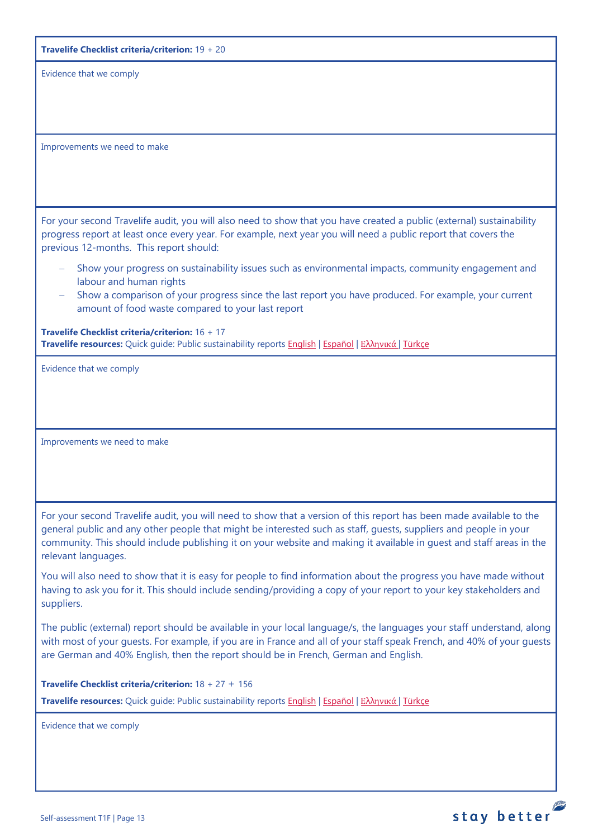|  |  | <b>Travelife Checklist criteria/criterion:</b> $19 + 20$ |  |  |  |  |
|--|--|----------------------------------------------------------|--|--|--|--|
|--|--|----------------------------------------------------------|--|--|--|--|

Evidence that we comply

Improvements we need to make

For your second Travelife audit, you will also need to show that you have created a public (external) sustainability progress report at least once every year. For example, next year you will need a public report that covers the previous 12-months. This report should:

- Show your progress on sustainability issues such as environmental impacts, community engagement and labour and human rights
- − Show a comparison of your progress since the last report you have produced. For example, your current amount of food waste compared to your last report

**Travelife Checklist criteria/criterion:** 16 + 17 **Travelife resources:** Quick guide: Public sustainability reports [English](https://travelifestaybetter.com/wp-content/uploads/2020/12/2-Quick-Guide-Public-Sustinability-Report-V1.1.pdf) | [Español](https://travelifestaybetter.com/wp-content/uploads/2020/12/2-ES-Quick-Guide-Public-Sustinability-Report-V1.1.pdf) | Ελλ[ηνικά](https://travelifestaybetter.com/wp-content/uploads/2020/12/3-Quick-Guide-Public-Sustinability-Report-V1.1-GR.pdf) [| Türkçe](https://travelifestaybetter.com/wp-content/uploads/2020/12/2-Quick-Guide-Public-Sustinability-Report-TR-Hizli-Kilavuz-Sirket-Disi-Surdurulebilirlik-Raporu.pdf)

Evidence that we comply

Improvements we need to make

For your second Travelife audit, you will need to show that a version of this report has been made available to the general public and any other people that might be interested such as staff, guests, suppliers and people in your community. This should include publishing it on your website and making it available in guest and staff areas in the relevant languages.

You will also need to show that it is easy for people to find information about the progress you have made without having to ask you for it. This should include sending/providing a copy of your report to your key stakeholders and suppliers.

The public (external) report should be available in your local language/s, the languages your staff understand, along with most of your guests. For example, if you are in France and all of your staff speak French, and 40% of your guests are German and 40% English, then the report should be in French, German and English.

**Travelife Checklist criteria/criterion:** 18 + 27 + 156

**Travelife resources:** Quick guide: Public sustainability reports [English](https://travelifestaybetter.com/wp-content/uploads/2020/12/2-Quick-Guide-Public-Sustinability-Report-V1.1.pdf) | [Español](https://travelifestaybetter.com/wp-content/uploads/2020/12/2-ES-Quick-Guide-Public-Sustinability-Report-V1.1.pdf) | Ελλ[ηνικά](https://travelifestaybetter.com/wp-content/uploads/2020/12/3-Quick-Guide-Public-Sustinability-Report-V1.1-GR.pdf) [| Türkçe](https://travelifestaybetter.com/wp-content/uploads/2020/12/2-Quick-Guide-Public-Sustinability-Report-TR-Hizli-Kilavuz-Sirket-Disi-Surdurulebilirlik-Raporu.pdf)

Evidence that we comply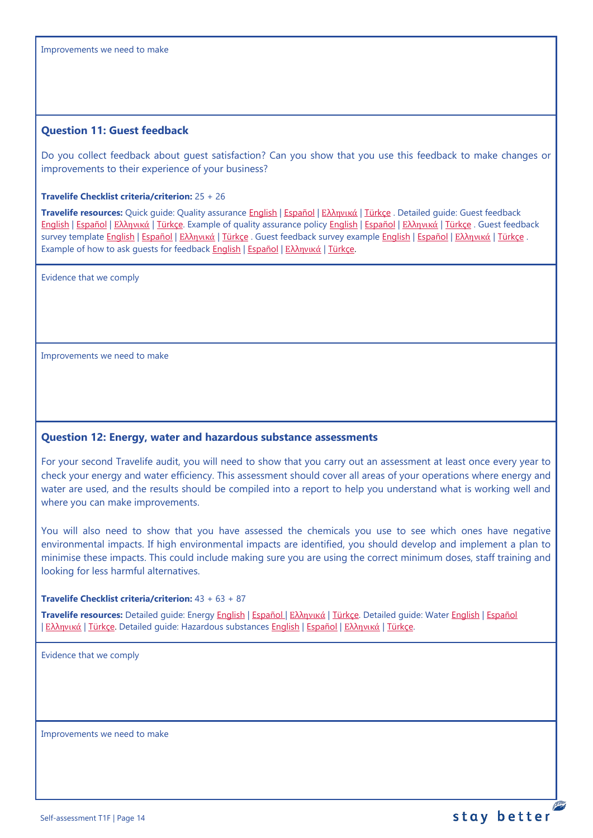### <span id="page-13-0"></span>**Question 11: Guest feedback**

Do you collect feedback about guest satisfaction? Can you show that you use this feedback to make changes or improvements to their experience of your business?

#### **Travelife Checklist criteria/criterion:** 25 + 26

**Travelife resources:** Quick guide: Quality assurance [English](https://travelifestaybetter.com/wp-content/uploads/2019/02/4-Quick-Guide-Quality-Assurance.pdf) | [Español](https://travelifestaybetter.com/wp-content/uploads/2019/02/4-ES-Quick-Guide-Quality-Assurance.pdf) | Ελλ[ηνικά](https://travelifestaybetter.com/wp-content/uploads/2020/07/32-Quick-Guide-Quality-Assurance-GR.pdf) | [Türkçe](https://travelifestaybetter.com/wp-content/uploads/2020/11/4-Quick-Guide-Quality-Assurance-TR-4-Hizli-Kilavuz-Kalite-Guvence.pdf) . Detailed guide: Guest feedback [English](https://travelifestaybetter.com/wp-content/uploads/2019/02/5-Detailed-Guide-Collecting-Guest-Feedback.pdf) | [Español](https://travelifestaybetter.com/wp-content/uploads/2019/02/5-ES-Detailed-Guide-Collecting-Guest-Feedback.pdf) | Ελλ[ηνικά](https://travelifestaybetter.com/wp-content/uploads/2021/01/5-GR-Detailed-Guide-Collecting-Guest-Feedback.pdf) | [Türkçe.](https://travelifestaybetter.com/wp-content/uploads/2021/01/5-Detailed-Guide-Collecting-Guest-Feedback-TR-Misafir-Geri-Bildirimlerini-Toplama-Detayli-Kilavuz.pdf) Example of quality assurance policy [English](https://travelifestaybetter.com/wp-content/uploads/2019/02/4-Example-Quality-Assurance-Policy.pdf) | [Español](https://travelifestaybetter.com/wp-content/uploads/2019/02/4-ES-Example-Quality-Assurance-Policy.pdf) | Ελλ[ηνικά](https://travelifestaybetter.com/wp-content/uploads/2020/07/33-Example-Quality-Assurance-Policy-GR.pdf) | [Türkçe](https://travelifestaybetter.com/wp-content/uploads/2020/08/4-Example-Quality-Assurance-Policy-TR-4-Ornek-Kalite-Guvence-Politikasi.pdf) . Guest feedback survey template [English](https://travelifestaybetter.com/wp-content/uploads/2019/02/5-Example-Guest-Feedback-Survey.pdf) | [Español](https://travelifestaybetter.com/wp-content/uploads/2019/02/5-ES-Example-Guest-Feedback-Survey.pdf) | Ελλ[ηνικά](https://travelifestaybetter.com/wp-content/uploads/2021/01/5-GR-Example-Guest-Feedback-Survey.pdf) | [Türkçe](https://travelifestaybetter.com/wp-content/uploads/2020/08/5-Example-Guest-Feedback-Survey-TR-5-Ornek-Misafir-Geri-Bildirim-Anketi.pdf) . Guest feedback survey example English | Español | Ελληνικά | Türkçe . Example of how to ask quests for feedback **English | [Español](https://travelifestaybetter.com/wp-content/uploads/2019/02/5-ES-Example-Guest-Feedback-Instructions-for-Guests.pdf) | Ελλ[ηνικά](https://travelifestaybetter.com/wp-content/uploads/2021/01/5-GR-Example-of-Feedback-Instructions-for-Guests.pdf) | [Türkçe.](https://travelifestaybetter.com/wp-content/uploads/2020/08/5-Example-of-Feedback-Insructions-for-Guests-TR-5-Ornek-Misafir-Geri-Bildirim-Talimati.pdf)** 

Evidence that we comply

Improvements we need to make

#### <span id="page-13-1"></span>**Question 12: Energy, water and hazardous substance assessments**

For your second Travelife audit, you will need to show that you carry out an assessment at least once every year to check your energy and water efficiency. This assessment should cover all areas of your operations where energy and water are used, and the results should be compiled into a report to help you understand what is working well and where you can make improvements.

You will also need to show that you have assessed the chemicals you use to see which ones have negative environmental impacts. If high environmental impacts are identified, you should develop and implement a plan to minimise these impacts. This could include making sure you are using the correct minimum doses, staff training and looking for less harmful alternatives.

#### **Travelife Checklist criteria/criterion:** 43 + 63 + 87

**Travelife resources:** Detailed guide: Energy [English](https://travelifestaybetter.com/wp-content/uploads/2019/02/17-Detailed-Guide-Energy.pdf) | [Español](https://travelifestaybetter.com/wp-content/uploads/2019/02/17-ES-Detailed-Guide-Energy.pdf) | Ελλ[ηνικά](https://travelifestaybetter.com/wp-content/uploads/2020/11/17-GR-Detailed-Guide-Energy.pdf) | [Türkçe.](https://travelifestaybetter.com/wp-content/uploads/2021/01/17-Detailed-Guide-Energy-TR-Enerji-Detayli-Kilavuz.pdf) Detailed guide: Water [English](https://travelifestaybetter.com/wp-content/uploads/2019/02/18-Detailed-Guide-Water.pdf) | [Español](https://travelifestaybetter.com/wp-content/uploads/2019/02/18-ES-Detailed-Guide-Water.pdf) | Ελλ[ηνικά](https://travelifestaybetter.com/wp-content/uploads/2021/01/20-GR-Detailed-Guide-Hazardous-Substances.pdf) | Türkce. Detailed guide: Hazardous substances English | Español | Ελληνικά | [Türkçe.](https://travelifestaybetter.com/wp-content/uploads/2021/01/20-Detailed-Guide-Hazardous-Substances-TR-Tehlikeli-Maddeler-Detayli-Kilavuz.pdf)

Evidence that we comply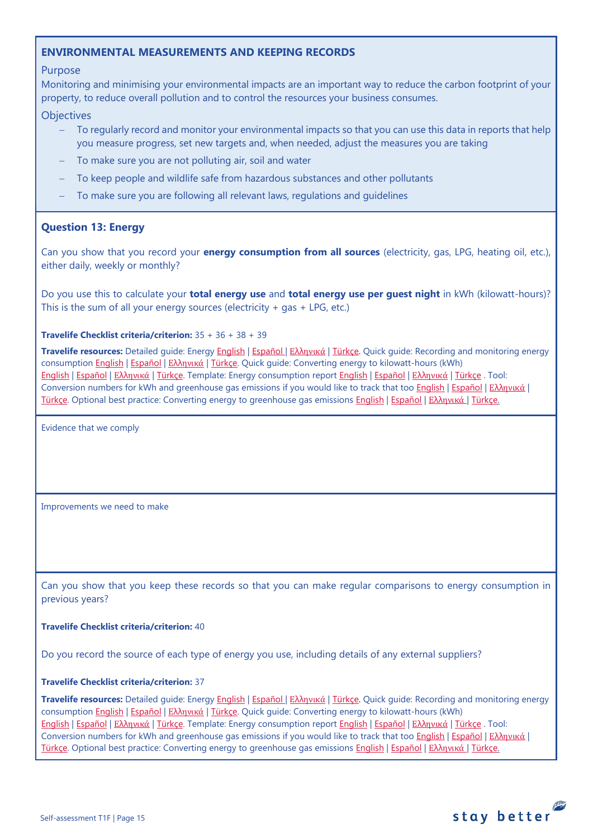# <span id="page-14-0"></span>**ENVIRONMENTAL MEASUREMENTS AND KEEPING RECORDS**

## Purpose

Monitoring and minimising your environmental impacts are an important way to reduce the carbon footprint of your property, to reduce overall pollution and to control the resources your business consumes.

### **Objectives**

- To regularly record and monitor your environmental impacts so that you can use this data in reports that help you measure progress, set new targets and, when needed, adjust the measures you are taking
- To make sure you are not polluting air, soil and water
- − To keep people and wildlife safe from hazardous substances and other pollutants
- − To make sure you are following all relevant laws, regulations and guidelines

## <span id="page-14-1"></span>**Question 13: Energy**

Can you show that you record your **energy consumption from all sources** (electricity, gas, LPG, heating oil, etc.), either daily, weekly or monthly?

Do you use this to calculate your **total energy use** and **total energy use per guest night** in kWh (kilowatt-hours)? This is the sum of all your energy sources (electricity + gas + LPG, etc.)

#### **Travelife Checklist criteria/criterion:** 35 + 36 + 38 + 39

**Travelife resources:** Detailed guide: Energy [English](https://travelifestaybetter.com/wp-content/uploads/2019/02/17-Detailed-Guide-Energy.pdf) | [Español](https://travelifestaybetter.com/wp-content/uploads/2019/02/17-ES-Detailed-Guide-Energy.pdf) | Ελλ[ηνικά](https://travelifestaybetter.com/wp-content/uploads/2020/11/17-GR-Detailed-Guide-Energy.pdf) | [Türkçe.](https://travelifestaybetter.com/wp-content/uploads/2021/01/17-Detailed-Guide-Energy-TR-Enerji-Detayli-Kilavuz.pdf) Quick guide: Recording and monitoring energy consumption [English](https://travelifestaybetter.com/wp-content/uploads/2019/02/17-Quick-Guide-Monitoring-Reporting-Energy-Use.pdf) | [Español](https://travelifestaybetter.com/wp-content/uploads/2019/02/17-ES-Quick-Guide-Monitoring-Reporting-Energy-Use.pdf) | Ελλ[ηνικά](https://travelifestaybetter.com/wp-content/uploads/2020/01/12-Quick-Guide-Monitoring-Reporting-Energy-Use-GR.pdf) | [Türkçe.](https://travelifestaybetter.com/wp-content/uploads/2020/10/17-Quick-Guide-Monitoring-Reporting-Energy-Use-TR-Enerjinin-Takibi-ve-Raporlanmasi-icin-Hizli-Kilavuz.pdf) Quick guide: Converting energy to kilowatt-hours (kWh) [English](https://travelifestaybetter.com/wp-content/uploads/2019/02/17-Quick-Guide-Converting-Energy-to-Kilowatt-Hours.pdf) | [Español](https://travelifestaybetter.com/wp-content/uploads/2019/03/17-ES-Quick-Guide-Converting-Energy-to-Kilowatt-Hours.pdf) | Ελλ[ηνικά](https://travelifestaybetter.com/wp-content/uploads/2020/01/13-Quick-Guide-Converting-Energy-to-Kilowatt-Hours-GR.pdf) | [Türkçe.](https://travelifestaybetter.com/wp-content/uploads/2020/10/17-Quick-Guide-Converting-Energy-to-Kilowatt-Hours-TR-Enerjinin-Kilovatsaata-Donusturulmesi-icin-Hizli-Kilavuz.pdf) Template: Energy consumption report [English](https://travelifestaybetter.com/wp-content/uploads/2019/02/17-Template-Recording-Energy-Consumption.xlsx) | [Español](https://travelifestaybetter.com/wp-content/uploads/2019/02/17-ES-Template-Recording-Energy-Consumption.xlsx) | Ελλ[ηνικά](https://travelifestaybetter.com/wp-content/uploads/2019/08/17-GR-Template-Recording-Energy-Consumption.xlsx) | [Türkçe](https://travelifestaybetter.com/wp-content/uploads/2020/07/17-Template-Recording-Energy-Consumption-TR-Enerji-T%C3%BCketiminin-Kayd%C4%B1-%C5%9Eablonu.xlsx) . Tool: Conversion numbers for kWh and greenhouse gas emissions if you would like to track that too [English](https://travelifestaybetter.com/wp-content/uploads/2019/02/17-Fuel-Conversion-Rates-to-kWh-and-CO2e.pdf) | [Español](https://travelifestaybetter.com/wp-content/uploads/2019/02/17-ES-Fuel-Conversion-to-kWh-and-CO2e.pdf) | Ελλ[ηνικά](https://travelifestaybetter.com/wp-content/uploads/2020/01/11-Fuel-Conversion-to-kWh-and-CO2e-GR.pdf) | [Türkçe.](https://travelifestaybetter.com/wp-content/uploads/2020/10/17-Fuel-Conversion-to-kWh-and-CO2e-TR-Yakitin-kWh-ve-CO2eye-Donusturulmesi.pdf) Optional best practice: Converting energy to greenhouse gas emissions [English](https://travelifestaybetter.com/wp-content/uploads/2019/02/17-Quick-Guide-Converting-Energy-to-CO2e.pdf) | [Español](https://travelifestaybetter.com/wp-content/uploads/2019/02/17-ES-Quick-Guide-Converting-Energy-to-CO2e.pdf) | Ελλ[ηνικά](https://travelifestaybetter.com/wp-content/uploads/2020/01/14-Quick-Guide-Converting-Energy-to-CO2e-GR.pdf) | [Türkçe.](https://travelifestaybetter.com/wp-content/uploads/2020/10/17-Quick-Guide-Converting-Energy-to-CO2e-TR-Enerjinin-CO2eye-Donusturulmesi-icin-Hizli-Kilavuz.pdf)

Evidence that we comply

Improvements we need to make

Can you show that you keep these records so that you can make regular comparisons to energy consumption in previous years?

#### **Travelife Checklist criteria/criterion:** 40

Do you record the source of each type of energy you use, including details of any external suppliers?

#### **Travelife Checklist criteria/criterion:** 37

**Travelife resources:** Detailed guide: Energy [English](https://travelifestaybetter.com/wp-content/uploads/2019/02/17-Detailed-Guide-Energy.pdf) | [Español](https://travelifestaybetter.com/wp-content/uploads/2019/02/17-ES-Detailed-Guide-Energy.pdf) | Ελλ[ηνικά](https://travelifestaybetter.com/wp-content/uploads/2020/11/17-GR-Detailed-Guide-Energy.pdf) | [Türkçe.](https://travelifestaybetter.com/wp-content/uploads/2021/01/17-Detailed-Guide-Energy-TR-Enerji-Detayli-Kilavuz.pdf) Quick guide: Recording and monitoring energy consumption [English](https://travelifestaybetter.com/wp-content/uploads/2019/02/17-Quick-Guide-Monitoring-Reporting-Energy-Use.pdf) | [Español](https://travelifestaybetter.com/wp-content/uploads/2019/02/17-ES-Quick-Guide-Monitoring-Reporting-Energy-Use.pdf) | Ελλ[ηνικά](https://travelifestaybetter.com/wp-content/uploads/2020/01/12-Quick-Guide-Monitoring-Reporting-Energy-Use-GR.pdf) | [Türkçe.](https://travelifestaybetter.com/wp-content/uploads/2020/10/17-Quick-Guide-Monitoring-Reporting-Energy-Use-TR-Enerjinin-Takibi-ve-Raporlanmasi-icin-Hizli-Kilavuz.pdf) Quick guide: Converting energy to kilowatt-hours (kWh) [English](https://travelifestaybetter.com/wp-content/uploads/2019/02/17-Quick-Guide-Converting-Energy-to-Kilowatt-Hours.pdf) | [Español](https://travelifestaybetter.com/wp-content/uploads/2019/03/17-ES-Quick-Guide-Converting-Energy-to-Kilowatt-Hours.pdf) | Ελλ[ηνικά](https://travelifestaybetter.com/wp-content/uploads/2020/01/13-Quick-Guide-Converting-Energy-to-Kilowatt-Hours-GR.pdf) | [Türkçe.](https://travelifestaybetter.com/wp-content/uploads/2020/10/17-Quick-Guide-Converting-Energy-to-Kilowatt-Hours-TR-Enerjinin-Kilovatsaata-Donusturulmesi-icin-Hizli-Kilavuz.pdf) Template: Energy consumption report [English](https://travelifestaybetter.com/wp-content/uploads/2019/02/17-Template-Recording-Energy-Consumption.xlsx) | [Español](https://travelifestaybetter.com/wp-content/uploads/2019/02/17-ES-Template-Recording-Energy-Consumption.xlsx) | Ελλ[ηνικά](https://travelifestaybetter.com/wp-content/uploads/2019/08/17-GR-Template-Recording-Energy-Consumption.xlsx) | [Türkçe](https://travelifestaybetter.com/wp-content/uploads/2020/07/17-Template-Recording-Energy-Consumption-TR-Enerji-T%C3%BCketiminin-Kayd%C4%B1-%C5%9Eablonu.xlsx) . Tool: Conversion numbers for kWh and greenhouse gas emissions if you would like to track that too [English](https://travelifestaybetter.com/wp-content/uploads/2019/02/17-Fuel-Conversion-Rates-to-kWh-and-CO2e.pdf) | [Español](https://travelifestaybetter.com/wp-content/uploads/2019/02/17-ES-Fuel-Conversion-to-kWh-and-CO2e.pdf) | Ελλ[ηνικά](https://travelifestaybetter.com/wp-content/uploads/2020/01/11-Fuel-Conversion-to-kWh-and-CO2e-GR.pdf) | [Türkçe.](https://travelifestaybetter.com/wp-content/uploads/2020/10/17-Fuel-Conversion-to-kWh-and-CO2e-TR-Yakitin-kWh-ve-CO2eye-Donusturulmesi.pdf) Optional best practice: Converting energy to greenhouse gas emissions [English](https://travelifestaybetter.com/wp-content/uploads/2019/02/17-Quick-Guide-Converting-Energy-to-CO2e.pdf) | [Español](https://travelifestaybetter.com/wp-content/uploads/2019/02/17-ES-Quick-Guide-Converting-Energy-to-CO2e.pdf) | Ελλ[ηνικά](https://travelifestaybetter.com/wp-content/uploads/2020/01/14-Quick-Guide-Converting-Energy-to-CO2e-GR.pdf) | [Türkçe.](https://travelifestaybetter.com/wp-content/uploads/2020/10/17-Quick-Guide-Converting-Energy-to-CO2e-TR-Enerjinin-CO2eye-Donusturulmesi-icin-Hizli-Kilavuz.pdf)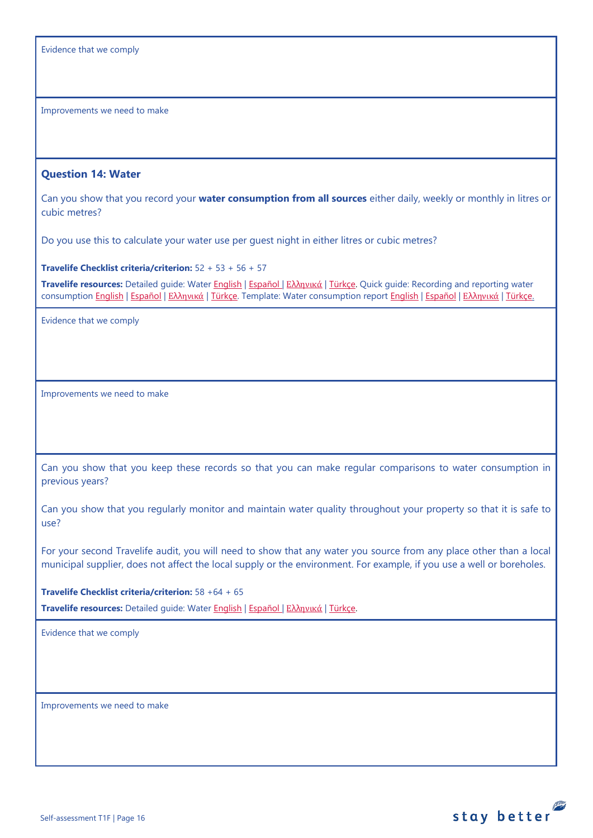| Evidence that we comply |  |  |  |  |
|-------------------------|--|--|--|--|
|-------------------------|--|--|--|--|

Improvements we need to make

#### <span id="page-15-0"></span>**Question 14: Water**

Can you show that you record your **water consumption from all sources** either daily, weekly or monthly in litres or cubic metres?

Do you use this to calculate your water use per guest night in either litres or cubic metres?

**Travelife Checklist criteria/criterion:** 52 + 53 + 56 + 57

**Travelife resources:** Detailed guide: Water [English](https://travelifestaybetter.com/wp-content/uploads/2019/02/18-Detailed-Guide-Water.pdf) | [Español](https://travelifestaybetter.com/wp-content/uploads/2019/02/18-ES-Detailed-Guide-Water.pdf) | Ελλ[ηνικά](https://travelifestaybetter.com/wp-content/uploads/2020/11/18-GR-Detailed-Guide-Water.pdf) | [Türkçe.](https://travelifestaybetter.com/wp-content/uploads/2021/01/18-Detailed-Guide-Water-TR-Su-Detayli-Kilavuz.pdf) Quick guide: Recording and reporting water consumption [English](https://travelifestaybetter.com/wp-content/uploads/2019/02/18-Template-Recording-Water-Consumption.xlsx) | Εspañol | Ελλ[ηνικά](https://travelifestaybetter.com/wp-content/uploads/2019/08/18-GR-Template-Recording-Water-Consumption.xlsx) | [Türkçe.](https://travelifestaybetter.com/wp-content/uploads/2020/10/18-Quick-Guide-Recording-Water-Consumption-TR-Su-Tuketiminin-Kayit-Edilmesi-icin-Hizli-Kilavuz.pdf) Template: Water consumption report English | Εspañol | Ελληνικά | [Türkçe.](https://travelifestaybetter.com/wp-content/uploads/2020/07/18-Template-Recording-Water-Consumption-TR-Su-T%C3%BCketiminin-Kayd%C4%B1-%C5%9Eablonu.xlsx)

Evidence that we comply

Improvements we need to make

Can you show that you keep these records so that you can make regular comparisons to water consumption in previous years?

Can you show that you regularly monitor and maintain water quality throughout your property so that it is safe to use?

For your second Travelife audit, you will need to show that any water you source from any place other than a local municipal supplier, does not affect the local supply or the environment. For example, if you use a well or boreholes.

**Travelife Checklist criteria/criterion:** 58 +64 + 65

**Travelife resources:** Detailed guide: Water [English](https://travelifestaybetter.com/wp-content/uploads/2019/02/18-Detailed-Guide-Water.pdf) | [Español](https://travelifestaybetter.com/wp-content/uploads/2019/02/18-ES-Detailed-Guide-Water.pdf) | Ελλ[ηνικά](https://travelifestaybetter.com/wp-content/uploads/2020/11/18-GR-Detailed-Guide-Water.pdf) | [Türkçe.](https://travelifestaybetter.com/wp-content/uploads/2021/01/18-Detailed-Guide-Water-TR-Su-Detayli-Kilavuz.pdf)

Evidence that we comply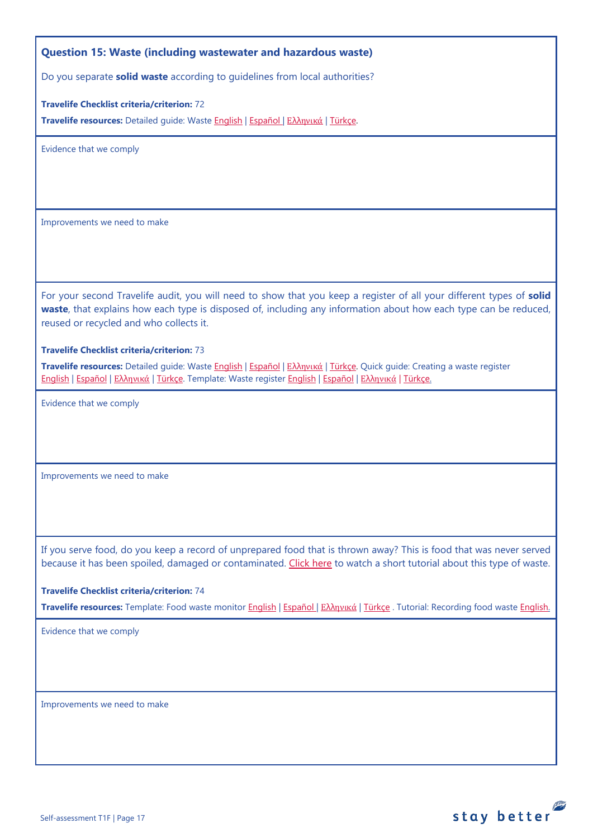## <span id="page-16-0"></span>**Question 15: Waste (including wastewater and hazardous waste)**

Do you separate **solid waste** according to guidelines from local authorities?

**Travelife Checklist criteria/criterion:** 72

**Travelife resources:** Detailed guide: Waste [English](https://travelifestaybetter.com/wp-content/uploads/2019/02/19-Detailed-Guide-Waste.pdf) | [Español](https://travelifestaybetter.com/wp-content/uploads/2019/02/19-ES-Detailed-Guide-Waste.pdf) | Ελλ[ηνικά](https://travelifestaybetter.com/wp-content/uploads/2021/01/19-GR-Detailed-Guide-Waste.pdf) | [Türkçe.](https://travelifestaybetter.com/wp-content/uploads/2021/01/19-Detailed-Guide-Waste-TR-Atik-Detayli-Kilavuz.pdf)

Evidence that we comply

Improvements we need to make

For your second Travelife audit, you will need to show that you keep a register of all your different types of **solid waste**, that explains how each type is disposed of, including any information about how each type can be reduced, reused or recycled and who collects it.

#### **Travelife Checklist criteria/criterion:** 73

**Travelife resources:** Detailed guide: Waste [English](https://travelifestaybetter.com/wp-content/uploads/2019/02/19-Detailed-Guide-Waste.pdf) | [Español](https://travelifestaybetter.com/wp-content/uploads/2019/02/19-ES-Detailed-Guide-Waste.pdf) | Ελλ[ηνικά](https://travelifestaybetter.com/wp-content/uploads/2021/01/19-GR-Detailed-Guide-Waste.pdf) | [Türkçe.](https://travelifestaybetter.com/wp-content/uploads/2021/01/19-Detailed-Guide-Waste-TR-Atik-Detayli-Kilavuz.pdf) Quick guide: Creating a waste register [English](https://travelifestaybetter.com/wp-content/uploads/2019/02/19-Quick-Guide-Creating-a-Waste-Register-1.pdf) | [Español](https://travelifestaybetter.com/wp-content/uploads/2019/02/19-ES-Quick-Guide-Creating-a-Waste-Register.pdf) | Ελλ[ηνικά](https://travelifestaybetter.com/wp-content/uploads/2020/01/17-Quick-Guide-Creating-a-Waste-Register-GR.pdf) | [Türkçe.](https://travelifestaybetter.com/wp-content/uploads/2020/10/19-Quick-Guide-Creating-a-Waste-Register-TR-Atik-Kaydi-Olusturmak-icin-Hizli-Kilavuz.pdf) Template: Waste register [English](https://travelifestaybetter.com/wp-content/uploads/2019/02/19-Template-Waste-Stream-Register.xlsx) | [Español](https://travelifestaybetter.com/wp-content/uploads/2019/02/19-ES-Template-Waste-Stream-Register.xlsx) | Ελλ[ηνικά](https://travelifestaybetter.com/19-gr-template-waste-stream-register/) | [Türkçe.](https://travelifestaybetter.com/wp-content/uploads/2020/07/19-Template-Waste-Stream-Register-TR-At%C4%B1k-%C3%87e%C5%9Fit-Kayd%C4%B1-%C5%9Eablonu.xlsx)

Evidence that we comply

Improvements we need to make

If you serve food, do you keep a record of unprepared food that is thrown away? This is food that was never served because it has been spoiled, damaged or contaminated. [Click here](https://travelifestaybetter.com/wp-content/uploads/2020/05/Travelife-Tutorial-Recording-Food-Waste.mp4) to watch a short tutorial about this type of waste.

#### **Travelife Checklist criteria/criterion:** 74

**Travelife resources:** Template: Food waste monitor [English](https://travelifestaybetter.com/wp-content/uploads/2019/03/19-Food-Waste-Monitoring-Template.xlsx) | [Español](https://travelifestaybetter.com/wp-content/uploads/2019/09/19-ES-Food-Waste-Monitoring-Template.xlsx) | Ελλ[ηνικά](https://travelifestaybetter.com/19-gr-food-waste-monitoring-template/) | [Türkçe](https://travelifestaybetter.com/wp-content/uploads/2020/07/19-Food-Waste-Monitoring-Template-TR-G%C4%B1da-At%C4%B1k-Takip-%C5%9Eablonu.xlsx) . Tutorial: Recording food waste [English.](https://travelifestaybetter.com/wp-content/uploads/2020/05/Travelife-Tutorial-Recording-Food-Waste.mp4)

Evidence that we comply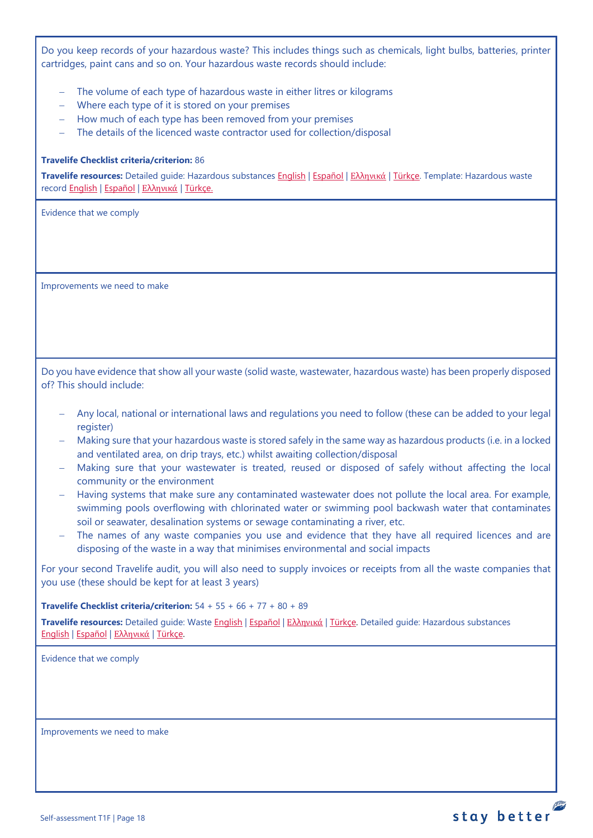Do you keep records of your hazardous waste? This includes things such as chemicals, light bulbs, batteries, printer cartridges, paint cans and so on. Your hazardous waste records should include:

- − The volume of each type of hazardous waste in either litres or kilograms
- − Where each type of it is stored on your premises
- − How much of each type has been removed from your premises
- − The details of the licenced waste contractor used for collection/disposal

#### **Travelife Checklist criteria/criterion:** 86

**Travelife resources:** Detailed guide: Hazardous substances [English](https://travelifestaybetter.com/wp-content/uploads/2019/02/20-Detailed-Guide-Hazardous-Substances.pdf) | [Español](https://travelifestaybetter.com/wp-content/uploads/2019/02/20-ES-Detailed-Guide-Hazardous-Substances.pdf) | Ελλ[ηνικά](https://travelifestaybetter.com/wp-content/uploads/2021/01/20-GR-Detailed-Guide-Hazardous-Substances.pdf) | [Türkçe.](https://travelifestaybetter.com/wp-content/uploads/2021/01/20-Detailed-Guide-Hazardous-Substances-TR-Tehlikeli-Maddeler-Detayli-Kilavuz.pdf) Template: Hazardous waste recor[d English](https://travelifestaybetter.com/wp-content/uploads/2019/03/20-Template-Hazardous-Waste-Record.xlsx) | [Español](https://travelifestaybetter.com/wp-content/uploads/2019/09/20-ES-Template-Hazardous-Waste-Record.xlsx) | Ελλ[ηνικά](https://travelifestaybetter.com/20-gr-template-hazardous-waste-record/) | [Türkçe.](https://travelifestaybetter.com/wp-content/uploads/2020/07/20-Template-Hazardous-Waste-Record-TR-Tehlikeli-At%C4%B1k-Kay%C4%B1t-%C5%9Eablonu.xlsx)

Evidence that we comply

Improvements we need to make

Do you have evidence that show all your waste (solid waste, wastewater, hazardous waste) has been properly disposed of? This should include:

- − Any local, national or international laws and regulations you need to follow (these can be added to your legal register)
- − Making sure that your hazardous waste is stored safely in the same way as hazardous products (i.e. in a locked and ventilated area, on drip trays, etc.) whilst awaiting collection/disposal
- Making sure that your wastewater is treated, reused or disposed of safely without affecting the local community or the environment
- − Having systems that make sure any contaminated wastewater does not pollute the local area. For example, swimming pools overflowing with chlorinated water or swimming pool backwash water that contaminates soil or seawater, desalination systems or sewage contaminating a river, etc.
- The names of any waste companies you use and evidence that they have all required licences and are disposing of the waste in a way that minimises environmental and social impacts

For your second Travelife audit, you will also need to supply invoices or receipts from all the waste companies that you use (these should be kept for at least 3 years)

**Travelife Checklist criteria/criterion:** 54 + 55 + 66 + 77 + 80 + 89

**Travelife resources:** Detailed guide: Waste [English](https://travelifestaybetter.com/wp-content/uploads/2019/02/19-Detailed-Guide-Waste.pdf) | [Español](https://travelifestaybetter.com/wp-content/uploads/2019/02/19-ES-Detailed-Guide-Waste.pdf) | Ελλ[ηνικά](https://travelifestaybetter.com/wp-content/uploads/2021/01/19-GR-Detailed-Guide-Waste.pdf) | [Türkçe.](https://travelifestaybetter.com/wp-content/uploads/2021/01/19-Detailed-Guide-Waste-TR-Atik-Detayli-Kilavuz.pdf) Detailed guide: Hazardous substances [English](https://travelifestaybetter.com/wp-content/uploads/2019/02/20-Detailed-Guide-Hazardous-Substances.pdf) | [Español](https://travelifestaybetter.com/wp-content/uploads/2019/02/20-ES-Detailed-Guide-Hazardous-Substances.pdf) | Ελλ[ηνικά](https://travelifestaybetter.com/wp-content/uploads/2021/01/20-GR-Detailed-Guide-Hazardous-Substances.pdf) | [Türkçe.](https://travelifestaybetter.com/wp-content/uploads/2021/01/20-Detailed-Guide-Hazardous-Substances-TR-Tehlikeli-Maddeler-Detayli-Kilavuz.pdf)

Evidence that we comply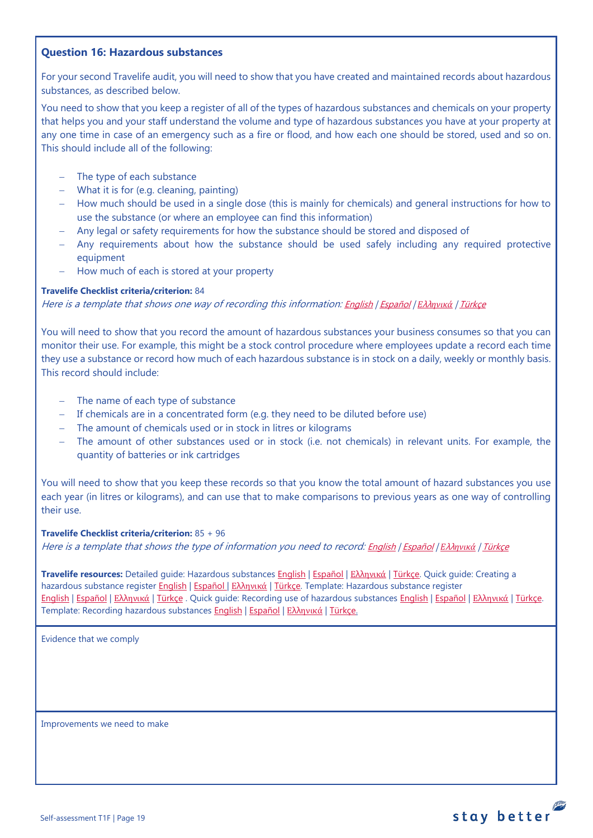### <span id="page-18-0"></span>**Question 16: Hazardous substances**

For your second Travelife audit, you will need to show that you have created and maintained records about hazardous substances, as described below.

You need to show that you keep a register of all of the types of hazardous substances and chemicals on your property that helps you and your staff understand the volume and type of hazardous substances you have at your property at any one time in case of an emergency such as a fire or flood, and how each one should be stored, used and so on. This should include all of the following:

- − The type of each substance
- − What it is for (e.g. cleaning, painting)
- − How much should be used in a single dose (this is mainly for chemicals) and general instructions for how to use the substance (or where an employee can find this information)
- − Any legal or safety requirements for how the substance should be stored and disposed of
- ← Any requirements about how the substance should be used safely including any required protective equipment
- − How much of each is stored at your property

### **Travelife Checklist criteria/criterion:** 84

Here is a template that shows one way of recording this information: [English](https://travelifestaybetter.com/wp-content/uploads/2019/02/20-Member-Template-Hazardous-Substance-Register.xlsx) | [Español](https://travelifestaybetter.com/wp-content/uploads/2019/02/20-ES-Member-Template-Hazardous-Substance-Register.xlsx) | *Ε*λλ*[ηνικά](https://travelifestaybetter.com/20-gr-member-template-hazardous-substance-register/)* | [Türkçe](https://travelifestaybetter.com/wp-content/uploads/2020/07/20-Member-Template-Hazardous-Substance-Register-TR-Tehlikeli-Madde-Kayd%C4%B1-%C3%9Cye-%C5%9Eablonu.xlsx)

You will need to show that you record the amount of hazardous substances your business consumes so that you can monitor their use. For example, this might be a stock control procedure where employees update a record each time they use a substance or record how much of each hazardous substance is in stock on a daily, weekly or monthly basis. This record should include:

- − The name of each type of substance
- − If chemicals are in a concentrated form (e.g. they need to be diluted before use)
- − The amount of chemicals used or in stock in litres or kilograms
- The amount of other substances used or in stock (i.e. not chemicals) in relevant units. For example, the quantity of batteries or ink cartridges

You will need to show that you keep these records so that you know the total amount of hazard substances you use each year (in litres or kilograms), and can use that to make comparisons to previous years as one way of controlling their use.

**Travelife Checklist criteria/criterion:** 85 + 96

Here is a template that shows the type of information you need to record: [English](https://travelifestaybetter.com/wp-content/uploads/2019/02/20-Member-Template-Recording-Use-of-Hazardous-Substances.xlsx) | [Español](https://travelifestaybetter.com/wp-content/uploads/2019/02/20-ES-Member-Template-Recording-Use-of-Hazardous-Substances.xlsx) | *Ε*λλ*[ηνικά](https://travelifestaybetter.com/wp-content/uploads/2019/08/20-GR-Member-Template-Recording-Use-of-Hazardous-Substances.xlsx)* | [Türkçe](https://travelifestaybetter.com/wp-content/uploads/2020/07/20-Member-Template-Recording-Use-of-Hazardous-Substances-TR-Tehlikeli-Madde-Kullan%C4%B1m-Kayd%C4%B1-%C3%9Cye-%C5%9Eablonu.xlsx)

**Travelife resources:** Detailed guide: Hazardous substances [English](https://travelifestaybetter.com/wp-content/uploads/2019/02/20-Detailed-Guide-Hazardous-Substances.pdf) | [Español](https://travelifestaybetter.com/wp-content/uploads/2019/02/20-ES-Detailed-Guide-Hazardous-Substances.pdf) | Ελλ[ηνικά](https://travelifestaybetter.com/wp-content/uploads/2021/01/20-GR-Detailed-Guide-Hazardous-Substances.pdf) | [Türkçe.](https://travelifestaybetter.com/wp-content/uploads/2021/01/20-Detailed-Guide-Hazardous-Substances-TR-Tehlikeli-Maddeler-Detayli-Kilavuz.pdf) Quick guide: Creating a hazardous substance register [English](https://travelifestaybetter.com/wp-content/uploads/2019/02/20-Quick-Guide-Creating-a-Hazardous-Substance-Register.pdf) | [Español](https://travelifestaybetter.com/wp-content/uploads/2019/02/20-ES-Quick-Guide-Creating-a-Hazardous-Substance-Register.pdf) | Ελλ[ηνικά](https://travelifestaybetter.com/wp-content/uploads/2020/01/19-Quick-Guide-Creating-a-Hazardous-Substance-Register-GR.pdf) | [Türkçe.](https://travelifestaybetter.com/wp-content/uploads/2020/10/20-Quick-Guide-Creating-a-Hazardous-Substance-Register-TR-Tehlikeli-Madde-Kaydi-Olusturmak-icin-Hizli-Kilavuz.pdf) Template: Hazardous substance register [English](https://travelifestaybetter.com/wp-content/uploads/2019/02/20-Member-Template-Hazardous-Substance-Register.xlsx) | [Español](https://travelifestaybetter.com/wp-content/uploads/2019/02/20-ES-Member-Template-Hazardous-Substance-Register.xlsx) | Ελλ[ηνικά](https://travelifestaybetter.com/20-gr-member-template-hazardous-substance-register/) | [Türkçe](https://travelifestaybetter.com/wp-content/uploads/2020/07/20-Member-Template-Hazardous-Substance-Register-TR-Tehlikeli-Madde-Kayd%C4%B1-%C3%9Cye-%C5%9Eablonu.xlsx) . Quick guide: Recording use of hazardous substance[s English](https://travelifestaybetter.com/wp-content/uploads/2019/02/20-Quick-Guide-Recording-Use-of-Hazardous-Substances.pdf) | [Español](https://travelifestaybetter.com/wp-content/uploads/2019/02/20-ES-Quick-Guide-Recording-Use-of-Hazardous-Substances.pdf) | Ελλ[ηνικά](https://travelifestaybetter.com/wp-content/uploads/2020/01/20-Quick-Guide-Recording-Use-of-Hazardous-Substances-GR.pdf) | [Türkçe.](https://travelifestaybetter.com/wp-content/uploads/2020/10/20-Quick-Guide-Recording-Use-of-Hazardous-Substances-TR-Tehlikeli-Maddelerin-Kullaniminin-Kaydi-icin-Hizli-Kilavuz.pdf) Template: Recording hazardous substances [English](https://travelifestaybetter.com/wp-content/uploads/2019/02/20-Member-Template-Recording-Use-of-Hazardous-Substances.xlsx) | [Español](https://travelifestaybetter.com/wp-content/uploads/2019/02/20-ES-Member-Template-Recording-Use-of-Hazardous-Substances.xlsx) | Ελλ[ηνικά](https://travelifestaybetter.com/20-gr-member-template-recording-use-of-hazardous-substances/) | [Türkçe.](https://travelifestaybetter.com/wp-content/uploads/2020/07/20-Member-Template-Recording-Use-of-Hazardous-Substances-TR-Tehlikeli-Madde-Kullan%C4%B1m-Kayd%C4%B1-%C3%9Cye-%C5%9Eablonu.xlsx)

Evidence that we comply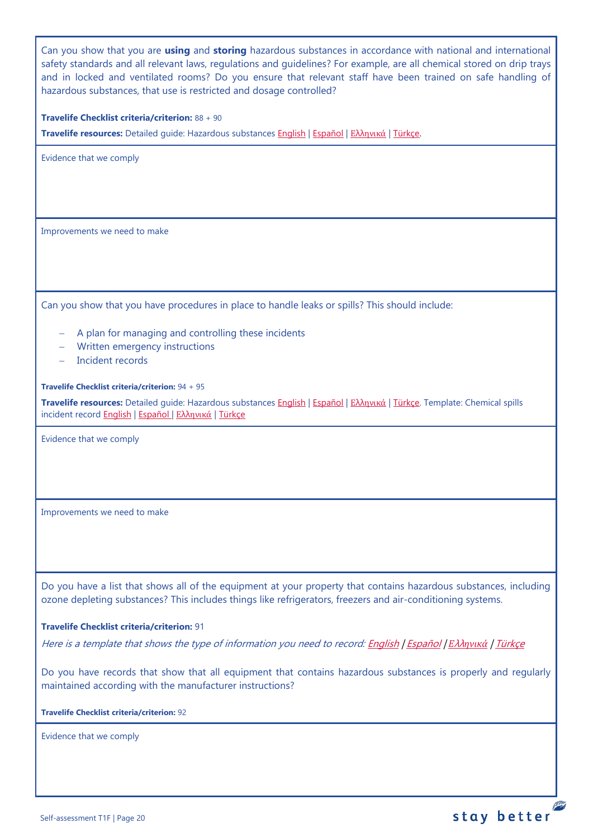Can you show that you are **using** and **storing** hazardous substances in accordance with national and international safety standards and all relevant laws, regulations and guidelines? For example, are all chemical stored on drip trays and in locked and ventilated rooms? Do you ensure that relevant staff have been trained on safe handling of hazardous substances, that use is restricted and dosage controlled?

**Travelife Checklist criteria/criterion:** 88 + 90

**Travelife resources:** Detailed guide: Hazardous substances [English](https://travelifestaybetter.com/wp-content/uploads/2019/02/20-Detailed-Guide-Hazardous-Substances.pdf) | [Español](https://travelifestaybetter.com/wp-content/uploads/2019/02/20-ES-Detailed-Guide-Hazardous-Substances.pdf) | Ελλ[ηνικά](https://travelifestaybetter.com/wp-content/uploads/2021/01/20-GR-Detailed-Guide-Hazardous-Substances.pdf) | [Türkçe.](https://travelifestaybetter.com/wp-content/uploads/2021/01/20-Detailed-Guide-Hazardous-Substances-TR-Tehlikeli-Maddeler-Detayli-Kilavuz.pdf)

Evidence that we comply

Improvements we need to make

Can you show that you have procedures in place to handle leaks or spills? This should include:

- − A plan for managing and controlling these incidents
- − Written emergency instructions
- − Incident records

**Travelife Checklist criteria/criterion:** 94 + 95

**Travelife resources:** Detailed guide: Hazardous substances [English](https://travelifestaybetter.com/wp-content/uploads/2019/02/20-Detailed-Guide-Hazardous-Substances.pdf) | [Español](https://travelifestaybetter.com/wp-content/uploads/2019/02/20-ES-Detailed-Guide-Hazardous-Substances.pdf) | Ελλ[ηνικά](https://travelifestaybetter.com/wp-content/uploads/2021/01/20-GR-Detailed-Guide-Hazardous-Substances.pdf) | [Türkçe.](https://travelifestaybetter.com/wp-content/uploads/2021/01/20-Detailed-Guide-Hazardous-Substances-TR-Tehlikeli-Maddeler-Detayli-Kilavuz.pdf) Template: Chemical spills incident record **English | [Español](https://travelifestaybetter.com/wp-content/uploads/2019/09/20-ES-Template-Chemical-Spills-Incident-Record.xlsx) | Ελλ[ηνικά](https://travelifestaybetter.com/20-gr-template-chemical-spills-incident-record/) | [Türkçe](https://travelifestaybetter.com/wp-content/uploads/2020/07/20-Template-Chemical-Spills-Incident-Record-TR-Kimyasal-D%C3%B6k%C3%BClme-Olay-Kayd%C4%B1-%C5%9Eablonu.xlsx)** 

Evidence that we comply

Improvements we need to make

Do you have a list that shows all of the equipment at your property that contains hazardous substances, including ozone depleting substances? This includes things like refrigerators, freezers and air-conditioning systems.

#### **Travelife Checklist criteria/criterion:** 91

Here is a template that shows the type of information you need to record[: English](https://travelifestaybetter.com/wp-content/uploads/2019/03/20-Template-List-of-Equipment-with-Hazardous-Substances.xlsx) | [Español](https://travelifestaybetter.com/wp-content/uploads/2020/08/20-ES-Template-List-of-Equipment-with-Hazardous-Substances.xlsx) | *Ε*λλ*[ηνικά](https://travelifestaybetter.com/wp-content/uploads/2019/08/20-GR-Template-List-of-Equipment-with-Hazardous-Substances_GR.xlsx)* | [Türkçe](https://travelifestaybetter.com/wp-content/uploads/2020/07/20-Template-List-of-Equipment-with-Hazardous-Substances-TR-Tehlikeli-Madde-i%C3%A7eren-Ekipman-Listesi-%C5%9Eablonu.xlsx)

Do you have records that show that all equipment that contains hazardous substances is properly and regularly maintained according with the manufacturer instructions?

**Travelife Checklist criteria/criterion:** 92

Evidence that we comply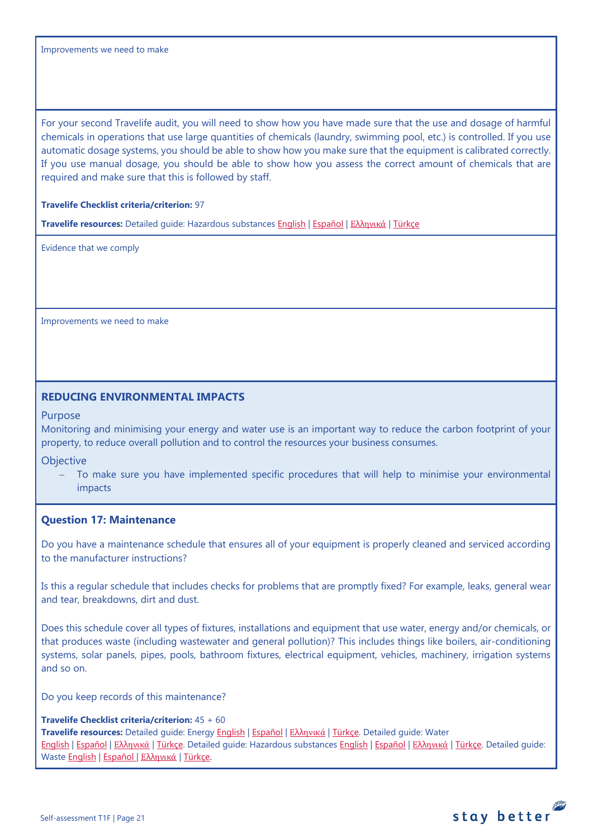Improvements we need to make

For your second Travelife audit, you will need to show how you have made sure that the use and dosage of harmful chemicals in operations that use large quantities of chemicals (laundry, swimming pool, etc.) is controlled. If you use automatic dosage systems, you should be able to show how you make sure that the equipment is calibrated correctly. If you use manual dosage, you should be able to show how you assess the correct amount of chemicals that are required and make sure that this is followed by staff.

#### **Travelife Checklist criteria/criterion:** 97

**Travelife resources:** Detailed guide: Hazardous substances [English](https://travelifestaybetter.com/wp-content/uploads/2019/02/20-Detailed-Guide-Hazardous-Substances.pdf) | [Español](https://travelifestaybetter.com/wp-content/uploads/2019/02/20-ES-Detailed-Guide-Hazardous-Substances.pdf) | Ελλ[ηνικά](https://travelifestaybetter.com/wp-content/uploads/2021/01/20-GR-Detailed-Guide-Hazardous-Substances.pdf) | [Türkçe](https://travelifestaybetter.com/wp-content/uploads/2021/01/20-Detailed-Guide-Hazardous-Substances-TR-Tehlikeli-Maddeler-Detayli-Kilavuz.pdf)

Evidence that we comply

Improvements we need to make

## <span id="page-20-0"></span>**REDUCING ENVIRONMENTAL IMPACTS**

#### Purpose

Monitoring and minimising your energy and water use is an important way to reduce the carbon footprint of your property, to reduce overall pollution and to control the resources your business consumes.

**Objective** 

To make sure you have implemented specific procedures that will help to minimise your environmental impacts

#### <span id="page-20-1"></span>**Question 17: Maintenance**

Do you have a maintenance schedule that ensures all of your equipment is properly cleaned and serviced according to the manufacturer instructions?

Is this a regular schedule that includes checks for problems that are promptly fixed? For example, leaks, general wear and tear, breakdowns, dirt and dust.

Does this schedule cover all types of fixtures, installations and equipment that use water, energy and/or chemicals, or that produces waste (including wastewater and general pollution)? This includes things like boilers, air-conditioning systems, solar panels, pipes, pools, bathroom fixtures, electrical equipment, vehicles, machinery, irrigation systems and so on.

Do you keep records of this maintenance?

#### **Travelife Checklist criteria/criterion:** 45 + 60

**Travelife resources:** Detailed guide: Energy [English](https://travelifestaybetter.com/wp-content/uploads/2019/02/17-Detailed-Guide-Energy.pdf) | [Español](https://travelifestaybetter.com/wp-content/uploads/2019/02/17-ES-Detailed-Guide-Energy.pdf) | Ελλ[ηνικά](https://travelifestaybetter.com/wp-content/uploads/2020/11/17-GR-Detailed-Guide-Energy.pdf) | [Türkçe.](https://travelifestaybetter.com/wp-content/uploads/2021/01/17-Detailed-Guide-Energy-TR-Enerji-Detayli-Kilavuz.pdf) Detailed guide: Water [English](https://travelifestaybetter.com/wp-content/uploads/2019/02/18-Detailed-Guide-Water.pdf) | [Español](https://travelifestaybetter.com/wp-content/uploads/2019/02/18-ES-Detailed-Guide-Water.pdf) | Ελλ[ηνικά](https://travelifestaybetter.com/wp-content/uploads/2020/11/18-GR-Detailed-Guide-Water.pdf) | [Türkçe.](https://travelifestaybetter.com/wp-content/uploads/2021/01/18-Detailed-Guide-Water-TR-Su-Detayli-Kilavuz.pdf) Detailed guide: Hazardous substances [English](https://travelifestaybetter.com/wp-content/uploads/2019/02/20-Detailed-Guide-Hazardous-Substances.pdf) | [Español](https://travelifestaybetter.com/wp-content/uploads/2019/02/20-ES-Detailed-Guide-Hazardous-Substances.pdf) | Ελλ[ηνικά](https://travelifestaybetter.com/wp-content/uploads/2021/01/20-GR-Detailed-Guide-Hazardous-Substances.pdf) | [Türkçe.](https://travelifestaybetter.com/wp-content/uploads/2021/01/20-Detailed-Guide-Hazardous-Substances-TR-Tehlikeli-Maddeler-Detayli-Kilavuz.pdf) Detailed guide: Waste [English](https://travelifestaybetter.com/wp-content/uploads/2019/02/19-Detailed-Guide-Waste.pdf) | [Español](https://travelifestaybetter.com/wp-content/uploads/2019/02/19-ES-Detailed-Guide-Waste.pdf) | Ελλ[ηνικά](https://travelifestaybetter.com/wp-content/uploads/2021/01/19-GR-Detailed-Guide-Waste.pdf) | [Türkçe.](https://travelifestaybetter.com/wp-content/uploads/2021/01/19-Detailed-Guide-Waste-TR-Atik-Detayli-Kilavuz.pdf)

stay better

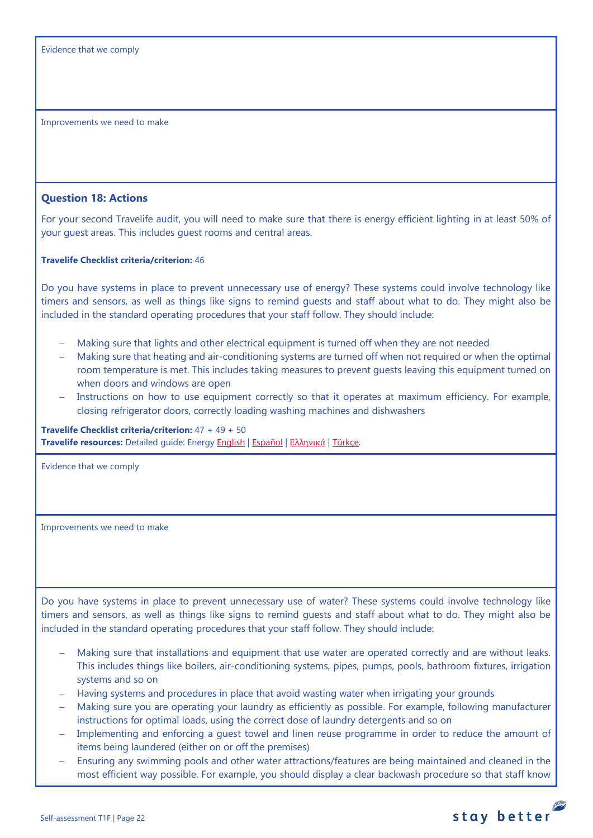Improvements we need to make

#### <span id="page-21-0"></span>**Question 18: Actions**

For your second Travelife audit, you will need to make sure that there is energy efficient lighting in at least 50% of your guest areas. This includes guest rooms and central areas.

#### **Travelife Checklist criteria/criterion:** 46

Do you have systems in place to prevent unnecessary use of energy? These systems could involve technology like timers and sensors, as well as things like signs to remind guests and staff about what to do. They might also be included in the standard operating procedures that your staff follow. They should include:

- Making sure that lights and other electrical equipment is turned off when they are not needed
- − Making sure that heating and air-conditioning systems are turned off when not required or when the optimal room temperature is met. This includes taking measures to prevent guests leaving this equipment turned on when doors and windows are open
- Instructions on how to use equipment correctly so that it operates at maximum efficiency. For example, closing refrigerator doors, correctly loading washing machines and dishwashers

**Travelife Checklist criteria/criterion:** 47 + 49 + 50 **Travelife resources:** Detailed guide: Energy [English](https://travelifestaybetter.com/wp-content/uploads/2019/02/17-Detailed-Guide-Energy.pdf) | [Español](https://travelifestaybetter.com/wp-content/uploads/2019/02/17-ES-Detailed-Guide-Energy.pdf) | Ελλ[ηνικά](https://travelifestaybetter.com/wp-content/uploads/2020/11/17-GR-Detailed-Guide-Energy.pdf) | [Türkçe.](https://travelifestaybetter.com/wp-content/uploads/2021/01/17-Detailed-Guide-Energy-TR-Enerji-Detayli-Kilavuz.pdf)

Evidence that we comply

Improvements we need to make

Do you have systems in place to prevent unnecessary use of water? These systems could involve technology like timers and sensors, as well as things like signs to remind guests and staff about what to do. They might also be included in the standard operating procedures that your staff follow. They should include:

- Making sure that installations and equipment that use water are operated correctly and are without leaks. This includes things like boilers, air-conditioning systems, pipes, pumps, pools, bathroom fixtures, irrigation systems and so on
- − Having systems and procedures in place that avoid wasting water when irrigating your grounds
- − Making sure you are operating your laundry as efficiently as possible. For example, following manufacturer instructions for optimal loads, using the correct dose of laundry detergents and so on
- − Implementing and enforcing a guest towel and linen reuse programme in order to reduce the amount of items being laundered (either on or off the premises)
- Ensuring any swimming pools and other water attractions/features are being maintained and cleaned in the most efficient way possible. For example, you should display a clear backwash procedure so that staff know

![](_page_21_Picture_19.jpeg)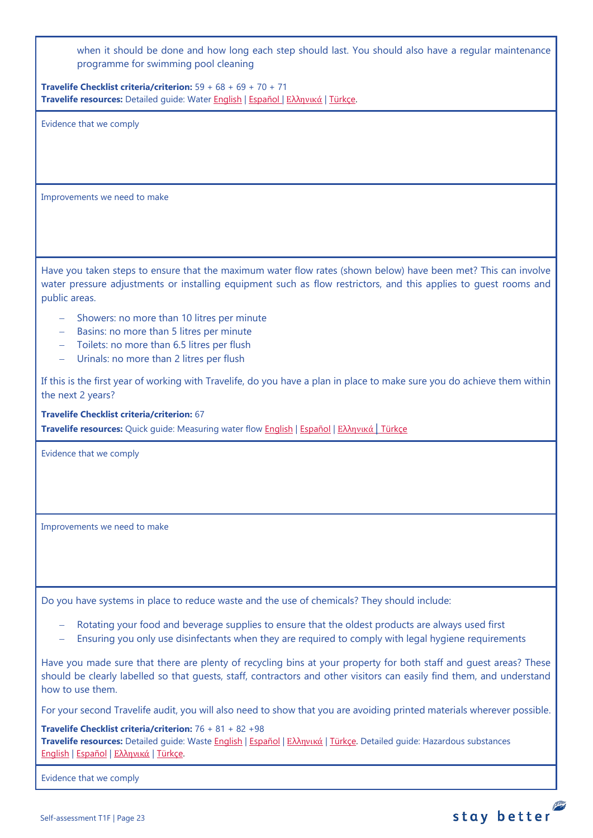when it should be done and how long each step should last. You should also have a regular maintenance programme for swimming pool cleaning

**Travelife Checklist criteria/criterion:** 59 + 68 + 69 + 70 + 71 **Travelife resources:** Detailed guide: Wate[r English](https://travelifestaybetter.com/wp-content/uploads/2019/02/18-Detailed-Guide-Water.pdf) | [Español](https://travelifestaybetter.com/wp-content/uploads/2019/02/18-ES-Detailed-Guide-Water.pdf) | Ελλ[ηνικά](https://travelifestaybetter.com/wp-content/uploads/2020/11/18-GR-Detailed-Guide-Water.pdf) | [Türkçe.](https://travelifestaybetter.com/wp-content/uploads/2021/01/18-Detailed-Guide-Water-TR-Su-Detayli-Kilavuz.pdf)

Evidence that we comply

Improvements we need to make

Have you taken steps to ensure that the maximum water flow rates (shown below) have been met? This can involve water pressure adjustments or installing equipment such as flow restrictors, and this applies to guest rooms and public areas.

- − Showers: no more than 10 litres per minute
- − Basins: no more than 5 litres per minute
- − Toilets: no more than 6.5 litres per flush
- − Urinals: no more than 2 litres per flush

If this is the first year of working with Travelife, do you have a plan in place to make sure you do achieve them within the next 2 years?

**Travelife Checklist criteria/criterion:** 67 **Travelife resources:** Quick guide: Measuring water flow [English](https://travelifestaybetter.com/wp-content/uploads/2019/02/18-Quick-Guide-Measuring-Water-Flow.pdf) | [Español](https://travelifestaybetter.com/wp-content/uploads/2019/02/18-ES-Quick-Guide-Measuring-Water-Flow.pdf) | Ελλ[ηνικά](https://travelifestaybetter.com/wp-content/uploads/2020/01/16-Quick-Guide-Measuring-Water-Flow-GR.pdf) | [Türkçe](https://travelifestaybetter.com/wp-content/uploads/2020/10/18-Quick-Guide-Measuring-Water-Flow-TR-Su-Debisinin-Olculmesi-icin-Hizli-Kilavuz.pdf)

Evidence that we comply

Improvements we need to make

Do you have systems in place to reduce waste and the use of chemicals? They should include:

- Rotating your food and beverage supplies to ensure that the oldest products are always used first
- Ensuring you only use disinfectants when they are required to comply with legal hygiene requirements

Have you made sure that there are plenty of recycling bins at your property for both staff and guest areas? These should be clearly labelled so that guests, staff, contractors and other visitors can easily find them, and understand how to use them.

For your second Travelife audit, you will also need to show that you are avoiding printed materials wherever possible.

**Travelife Checklist criteria/criterion:** 76 + 81 + 82 +98

**Travelife resources:** Detailed guide: Waste [English](https://travelifestaybetter.com/wp-content/uploads/2019/02/19-Detailed-Guide-Waste.pdf) | [Español](https://travelifestaybetter.com/wp-content/uploads/2019/02/19-ES-Detailed-Guide-Waste.pdf) | Ελλ[ηνικά](https://travelifestaybetter.com/wp-content/uploads/2021/01/19-GR-Detailed-Guide-Waste.pdf) | [Türkçe.](https://travelifestaybetter.com/wp-content/uploads/2021/01/19-Detailed-Guide-Waste-TR-Atik-Detayli-Kilavuz.pdf) Detailed guide: Hazardous substances [English](https://travelifestaybetter.com/wp-content/uploads/2019/02/20-Detailed-Guide-Hazardous-Substances.pdf) | [Español](https://travelifestaybetter.com/wp-content/uploads/2019/02/20-ES-Detailed-Guide-Hazardous-Substances.pdf) | Ελλ[ηνικά](https://travelifestaybetter.com/wp-content/uploads/2021/01/20-GR-Detailed-Guide-Hazardous-Substances.pdf) | [Türkçe.](https://travelifestaybetter.com/wp-content/uploads/2021/01/20-Detailed-Guide-Hazardous-Substances-TR-Tehlikeli-Maddeler-Detayli-Kilavuz.pdf)

Evidence that we comply

![](_page_22_Picture_22.jpeg)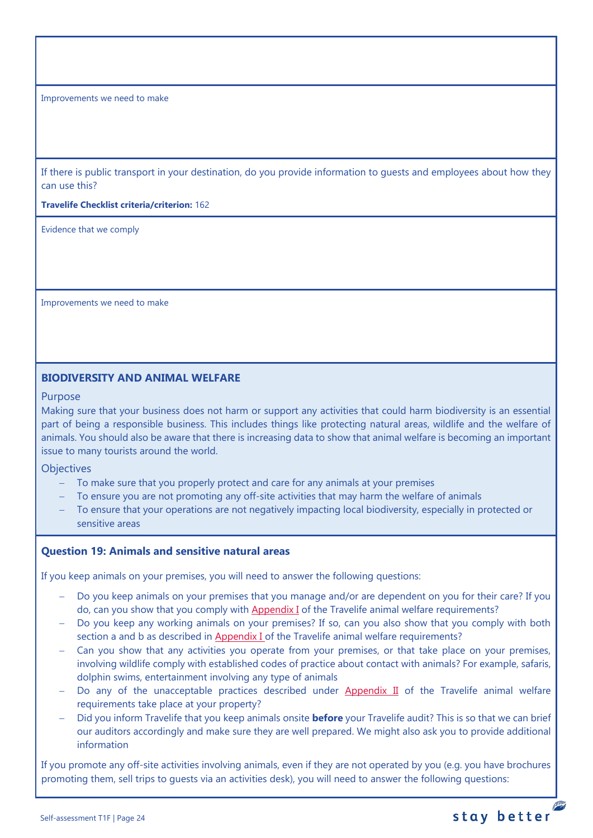Improvements we need to make

If there is public transport in your destination, do you provide information to guests and employees about how they can use this?

**Travelife Checklist criteria/criterion:** 162

Evidence that we comply

Improvements we need to make

## <span id="page-23-0"></span>**BIODIVERSITY AND ANIMAL WELFARE**

#### Purpose

Making sure that your business does not harm or support any activities that could harm biodiversity is an essential part of being a responsible business. This includes things like protecting natural areas, wildlife and the welfare of animals. You should also be aware that there is increasing data to show that animal welfare is becoming an important issue to many tourists around the world.

**Objectives** 

- − To make sure that you properly protect and care for any animals at your premises
- To ensure you are not promoting any off-site activities that may harm the welfare of animals
- To ensure that your operations are not negatively impacting local biodiversity, especially in protected or sensitive areas

### <span id="page-23-1"></span>**Question 19: Animals and sensitive natural areas**

If you keep animals on your premises, you will need to answer the following questions:

- Do you keep animals on your premises that you manage and/or are dependent on you for their care? If you do, can you show that you comply wit[h Appendix I](https://travelifestaybetter.com/travelife-standard-checklists/) of the Travelife animal welfare requirements?
- − Do you keep any working animals on your premises? If so, can you also show that you comply with both section a and b as described in [Appendix I o](https://travelifestaybetter.com/travelife-standard-checklists/)f the Travelife animal welfare requirements?
- Can you show that any activities you operate from your premises, or that take place on your premises, involving wildlife comply with established codes of practice about contact with animals? For example, safaris, dolphin swims, entertainment involving any type of animals
- − Do any of the unacceptable practices described under [Appendix II](https://travelifestaybetter.com/travelife-standard-checklists/) of the Travelife animal welfare requirements take place at your property?
- − Did you inform Travelife that you keep animals onsite **before** your Travelife audit? This is so that we can brief our auditors accordingly and make sure they are well prepared. We might also ask you to provide additional information

If you promote any off-site activities involving animals, even if they are not operated by you (e.g. you have brochures promoting them, sell trips to guests via an activities desk), you will need to answer the following questions:

**PERSONAL**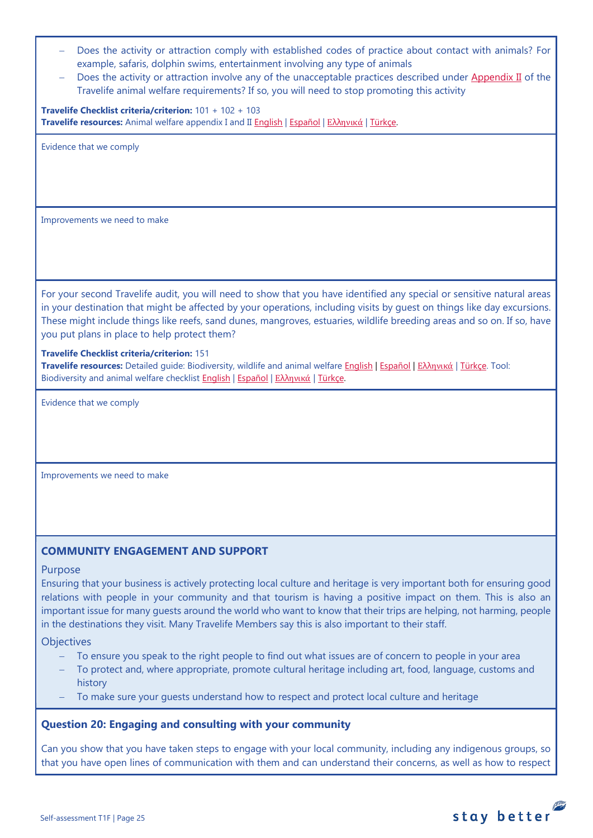- Does the activity or attraction comply with established codes of practice about contact with animals? For example, safaris, dolphin swims, entertainment involving any type of animals
- Does the activity or attraction involve any of the unacceptable practices described under [Appendix II](https://travelifestaybetter.com/travelife-standard-checklists/) of the Travelife animal welfare requirements? If so, you will need to stop promoting this activity

**Travelife Checklist criteria/criterion:** 101 + 102 + 103 **Travelife resources:** Animal welfare appendix I and II [English](https://travelifestaybetter.com/wp-content/uploads/2020/12/Appendix-I-and-II-Animal-Welfare-Version-3.0-EN.pdf) | [Español](https://travelifestaybetter.com/wp-content/uploads/2020/12/Appendix-I-and-II-Animal-Welfare-Version-3.0-ES.pdf) | Ελλ[ηνικά](https://travelifestaybetter.com/wp-content/uploads/2020/12/GR-Appendix-I-and-II-Animal-Welfare-Version-3.0.pdf) | [Türkçe.](https://travelifestaybetter.com/wp-content/uploads/2020/12/Appendix-I-and-II-Animal-Welfare-Version-3.0-TR.pdf)

Evidence that we comply

Improvements we need to make

For your second Travelife audit, you will need to show that you have identified any special or sensitive natural areas in your destination that might be affected by your operations, including visits by guest on things like day excursions. These might include things like reefs, sand dunes, mangroves, estuaries, wildlife breeding areas and so on. If so, have you put plans in place to help protect them?

#### **Travelife Checklist criteria/criterion:** 151

**Travelife resources:** Detailed guide: Biodiversity, wildlife and animal welfare [English](https://travelifestaybetter.com/wp-content/uploads/2021/01/21-Detailed-Guided-Biodiversity-and-Animal-Welfare-V2.0.pdf) | [Español](https://travelifestaybetter.com/wp-content/uploads/2021/01/21-ES-Detailed-Guided-Biodiversity-and-Animal-Welfare-V2.0.pdf) | Ελλ[ηνικά](https://travelifestaybetter.com/wp-content/uploads/2021/01/21-GR-Detailed-Guided-Biodiversity-and-Animal-Welfare.pdf) | [Türkçe.](https://travelifestaybetter.com/wp-content/uploads/2021/01/21-Detailed-Guided-Biodiversity-and-Animal-Welfare-V2.0-TR-Biyocesitlilik-ve-Hayvan-Refahi-Detayli-Kilavuz.pdf) Tool: Biodiversity and animal welfare checklist **English | [Español](https://travelifestaybetter.com/wp-content/uploads/2020/11/21-ES-Biodiversity-and-Animal-Welfare-Checklist-V2.0.docx) | Ελλ[ηνικά](https://travelifestaybetter.com/wp-content/uploads/2021/01/21-GR-Biodiversity-and-Animal-Welfare-Checklist.docx) | Türkçe**.

Evidence that we comply

Improvements we need to make

## <span id="page-24-0"></span>**COMMUNITY ENGAGEMENT AND SUPPORT**

#### Purpose

Ensuring that your business is actively protecting local culture and heritage is very important both for ensuring good relations with people in your community and that tourism is having a positive impact on them. This is also an important issue for many guests around the world who want to know that their trips are helping, not harming, people in the destinations they visit. Many Travelife Members say this is also important to their staff.

#### **Objectives**

- To ensure you speak to the right people to find out what issues are of concern to people in your area
- To protect and, where appropriate, promote cultural heritage including art, food, language, customs and history
- − To make sure your guests understand how to respect and protect local culture and heritage

### <span id="page-24-1"></span>**Question 20: Engaging and consulting with your community**

Can you show that you have taken steps to engage with your local community, including any indigenous groups, so that you have open lines of communication with them and can understand their concerns, as well as how to respect

![](_page_24_Picture_20.jpeg)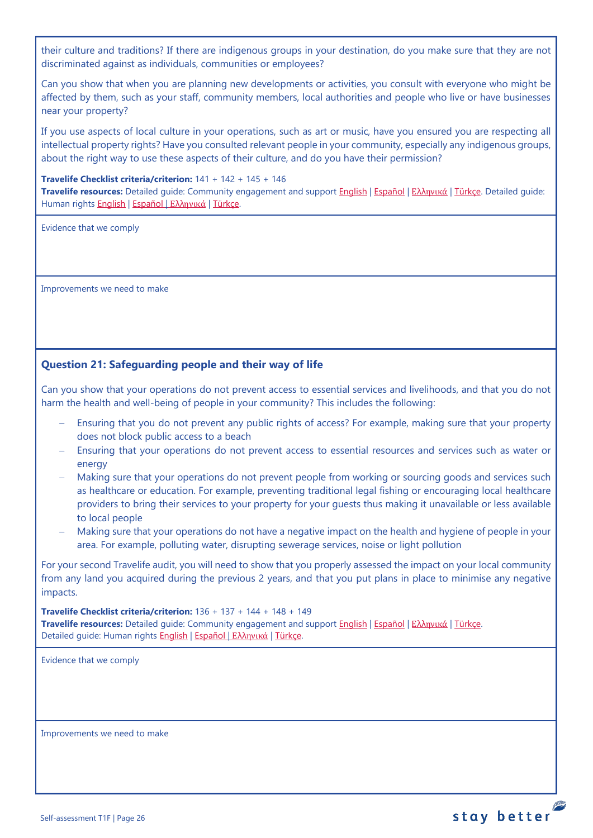their culture and traditions? If there are indigenous groups in your destination, do you make sure that they are not discriminated against as individuals, communities or employees?

Can you show that when you are planning new developments or activities, you consult with everyone who might be affected by them, such as your staff, community members, local authorities and people who live or have businesses near your property?

If you use aspects of local culture in your operations, such as art or music, have you ensured you are respecting all intellectual property rights? Have you consulted relevant people in your community, especially any indigenous groups, about the right way to use these aspects of their culture, and do you have their permission?

#### **Travelife Checklist criteria/criterion:** 141 + 142 + 145 + 146

**Travelife resources:** Detailed guide: Community engagement and suppor[t English](https://travelifestaybetter.com/wp-content/uploads/2019/02/7-Detailed-Guide-Community-Engagement.pdf) | [Español](https://travelifestaybetter.com/wp-content/uploads/2019/02/7-ES-Detailed-Guide-Community-Engagement.pdf) | Ελλ[ηνικά](https://travelifestaybetter.com/wp-content/uploads/2020/11/7-GR-Detailed-Guide-Community-Engagement.pdf) | [Türkçe.](https://travelifestaybetter.com/wp-content/uploads/2021/01/7-Detailed-Guide-Community-Engagement-TR-Toplum-Katilimi-ve-Destegi-Detayli-Kilavuz.pdf) Detailed guide: Human rights [English](https://travelifestaybetter.com/wp-content/uploads/2021/01/8-Detailed-Guide-Human-Rights.pdf) | [Español](https://travelifestaybetter.com/wp-content/uploads/2021/01/8-ES-Detailed-Guide-Human-Rights.pdf) | Ελλ[ηνικά](https://travelifestaybetter.com/wp-content/uploads/2021/01/8-GR-Detailed-Guide-Human-Rights.pdf) | [Türkçe.](https://travelifestaybetter.com/wp-content/uploads/2021/01/8-Detailed-Guide-Human-Rights-TR-Insan-Haklari-Detayli-Kilavuz.pdf)

Evidence that we comply

Improvements we need to make

# <span id="page-25-0"></span>**Question 21: Safeguarding people and their way of life**

Can you show that your operations do not prevent access to essential services and livelihoods, and that you do not harm the health and well-being of people in your community? This includes the following:

- Ensuring that you do not prevent any public rights of access? For example, making sure that your property does not block public access to a beach
- − Ensuring that your operations do not prevent access to essential resources and services such as water or energy
- − Making sure that your operations do not prevent people from working or sourcing goods and services such as healthcare or education. For example, preventing traditional legal fishing or encouraging local healthcare providers to bring their services to your property for your guests thus making it unavailable or less available to local people
- − Making sure that your operations do not have a negative impact on the health and hygiene of people in your area. For example, polluting water, disrupting sewerage services, noise or light pollution

For your second Travelife audit, you will need to show that you properly assessed the impact on your local community from any land you acquired during the previous 2 years, and that you put plans in place to minimise any negative impacts.

**Travelife Checklist criteria/criterion:** 136 + 137 + 144 + 148 + 149 **Travelife resources:** Detailed guide: Community engagement and suppor[t English](https://travelifestaybetter.com/wp-content/uploads/2019/02/7-Detailed-Guide-Community-Engagement.pdf) | [Español](https://travelifestaybetter.com/wp-content/uploads/2019/02/7-ES-Detailed-Guide-Community-Engagement.pdf) | Ελλ[ηνικά](https://travelifestaybetter.com/wp-content/uploads/2020/11/7-GR-Detailed-Guide-Community-Engagement.pdf) | [Türkçe.](https://travelifestaybetter.com/wp-content/uploads/2021/01/7-Detailed-Guide-Community-Engagement-TR-Toplum-Katilimi-ve-Destegi-Detayli-Kilavuz.pdf) Detailed guide: Human rights [English](https://travelifestaybetter.com/wp-content/uploads/2021/01/8-Detailed-Guide-Human-Rights.pdf) | [Español](https://travelifestaybetter.com/wp-content/uploads/2021/01/8-ES-Detailed-Guide-Human-Rights.pdf) | Ελλ[ηνικά](https://travelifestaybetter.com/wp-content/uploads/2021/01/8-GR-Detailed-Guide-Human-Rights.pdf) | [Türkçe.](https://travelifestaybetter.com/wp-content/uploads/2021/01/8-Detailed-Guide-Human-Rights-TR-Insan-Haklari-Detayli-Kilavuz.pdf)

Evidence that we comply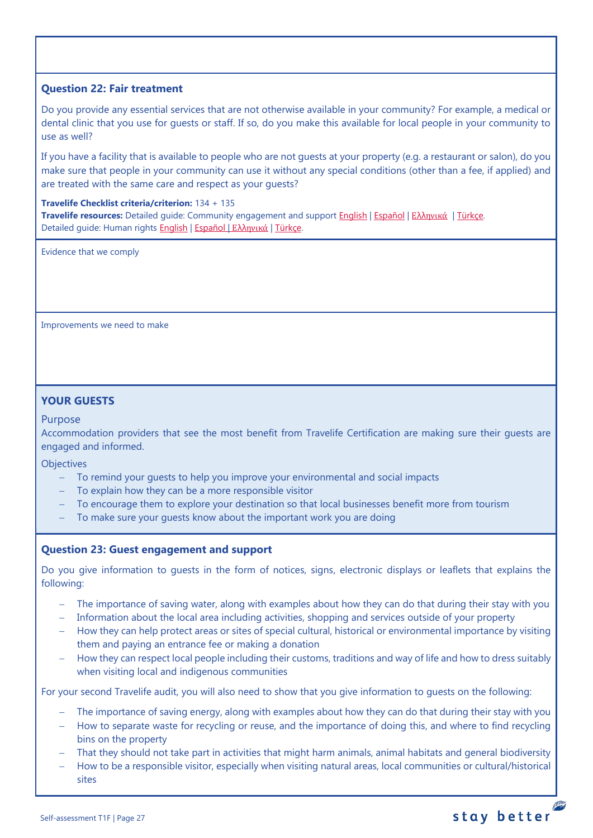## <span id="page-26-0"></span>**Question 22: Fair treatment**

Do you provide any essential services that are not otherwise available in your community? For example, a medical or dental clinic that you use for guests or staff. If so, do you make this available for local people in your community to use as well?

If you have a facility that is available to people who are not guests at your property (e.g. a restaurant or salon), do you make sure that people in your community can use it without any special conditions (other than a fee, if applied) and are treated with the same care and respect as your guests?

#### **Travelife Checklist criteria/criterion:** 134 + 135

**Travelife resources:** Detailed guide: Community engagement and suppor[t English](https://travelifestaybetter.com/wp-content/uploads/2019/02/7-Detailed-Guide-Community-Engagement.pdf) | [Español](https://travelifestaybetter.com/wp-content/uploads/2019/02/7-ES-Detailed-Guide-Community-Engagement.pdf) | Ελλ[ηνικά](https://travelifestaybetter.com/wp-content/uploads/2020/11/7-GR-Detailed-Guide-Community-Engagement.pdf) | [Türkçe.](https://travelifestaybetter.com/wp-content/uploads/2021/01/7-Detailed-Guide-Community-Engagement-TR-Toplum-Katilimi-ve-Destegi-Detayli-Kilavuz.pdf) Detailed guide: Human rights [English](https://travelifestaybetter.com/wp-content/uploads/2021/01/8-Detailed-Guide-Human-Rights.pdf) | [Español](https://travelifestaybetter.com/wp-content/uploads/2021/01/8-ES-Detailed-Guide-Human-Rights.pdf) | Ελλ[ηνικά](https://travelifestaybetter.com/wp-content/uploads/2021/01/8-GR-Detailed-Guide-Human-Rights.pdf) | Türkce.

Evidence that we comply

Improvements we need to make

# <span id="page-26-1"></span>**YOUR GUESTS**

#### Purpose

Accommodation providers that see the most benefit from Travelife Certification are making sure their guests are engaged and informed.

**Objectives** 

- − To remind your guests to help you improve your environmental and social impacts
- − To explain how they can be a more responsible visitor
- To encourage them to explore your destination so that local businesses benefit more from tourism
- To make sure your quests know about the important work you are doing

### <span id="page-26-2"></span>**Question 23: Guest engagement and support**

Do you give information to guests in the form of notices, signs, electronic displays or leaflets that explains the following:

- − The importance of saving water, along with examples about how they can do that during their stay with you
- − Information about the local area including activities, shopping and services outside of your property
- − How they can help protect areas or sites of special cultural, historical or environmental importance by visiting them and paying an entrance fee or making a donation
- How they can respect local people including their customs, traditions and way of life and how to dress suitably when visiting local and indigenous communities

For your second Travelife audit, you will also need to show that you give information to guests on the following:

- The importance of saving energy, along with examples about how they can do that during their stay with you
- − How to separate waste for recycling or reuse, and the importance of doing this, and where to find recycling bins on the property
- That they should not take part in activities that might harm animals, animal habitats and general biodiversity
- − How to be a responsible visitor, especially when visiting natural areas, local communities or cultural/historical sites

![](_page_26_Picture_27.jpeg)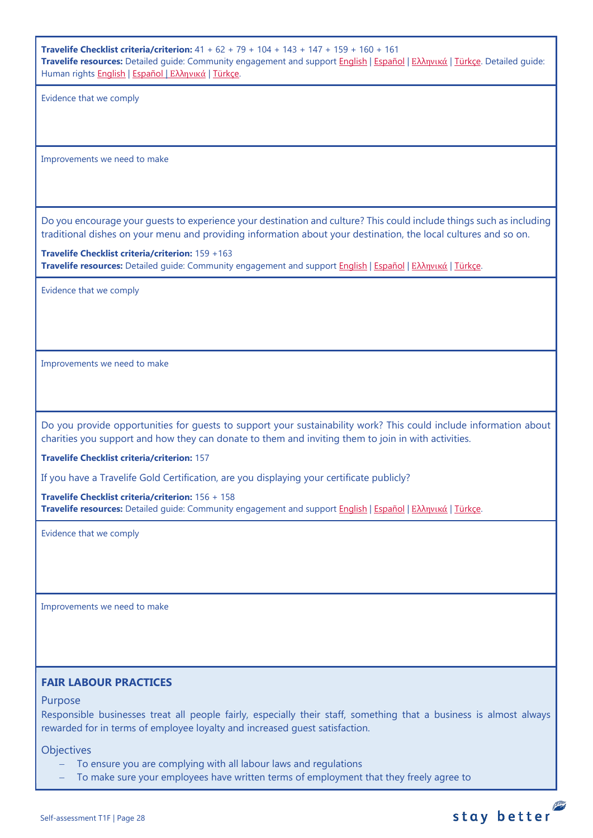**Travelife Checklist criteria/criterion:** 41 + 62 + 79 + 104 + 143 + 147 + 159 + 160 + 161 **Travelife resources:** Detailed guide: Community engagement and suppor[t English](https://travelifestaybetter.com/wp-content/uploads/2019/02/7-Detailed-Guide-Community-Engagement.pdf) | [Español](https://travelifestaybetter.com/wp-content/uploads/2019/02/7-ES-Detailed-Guide-Community-Engagement.pdf) | Ελλ[ηνικά](https://travelifestaybetter.com/wp-content/uploads/2020/11/7-GR-Detailed-Guide-Community-Engagement.pdf) | [Türkçe.](https://travelifestaybetter.com/wp-content/uploads/2021/01/7-Detailed-Guide-Community-Engagement-TR-Toplum-Katilimi-ve-Destegi-Detayli-Kilavuz.pdf) Detailed guide: Human rights [English](https://travelifestaybetter.com/wp-content/uploads/2021/01/8-Detailed-Guide-Human-Rights.pdf) | [Español](https://travelifestaybetter.com/wp-content/uploads/2021/01/8-ES-Detailed-Guide-Human-Rights.pdf) | Ελλ[ηνικά](https://travelifestaybetter.com/wp-content/uploads/2021/01/8-GR-Detailed-Guide-Human-Rights.pdf) | [Türkçe.](https://travelifestaybetter.com/wp-content/uploads/2021/01/8-Detailed-Guide-Human-Rights-TR-Insan-Haklari-Detayli-Kilavuz.pdf)

Evidence that we comply

Improvements we need to make

Do you encourage your guests to experience your destination and culture? This could include things such as including traditional dishes on your menu and providing information about your destination, the local cultures and so on.

**Travelife Checklist criteria/criterion:** 159 +163 **Travelife resources:** Detailed guide: Community engagement and suppor[t English](https://travelifestaybetter.com/wp-content/uploads/2019/02/7-Detailed-Guide-Community-Engagement.pdf) | [Español](https://travelifestaybetter.com/wp-content/uploads/2019/02/7-ES-Detailed-Guide-Community-Engagement.pdf) | Ελλ[ηνικά](https://travelifestaybetter.com/wp-content/uploads/2020/11/7-GR-Detailed-Guide-Community-Engagement.pdf) | [Türkçe.](https://travelifestaybetter.com/wp-content/uploads/2021/01/7-Detailed-Guide-Community-Engagement-TR-Toplum-Katilimi-ve-Destegi-Detayli-Kilavuz.pdf)

Evidence that we comply

Improvements we need to make

Do you provide opportunities for guests to support your sustainability work? This could include information about charities you support and how they can donate to them and inviting them to join in with activities.

**Travelife Checklist criteria/criterion:** 157

If you have a Travelife Gold Certification, are you displaying your certificate publicly?

**Travelife Checklist criteria/criterion:** 156 + 158 **Travelife resources:** Detailed guide: Community engagement and suppor[t English](https://travelifestaybetter.com/wp-content/uploads/2019/02/7-Detailed-Guide-Community-Engagement.pdf) | [Español](https://travelifestaybetter.com/wp-content/uploads/2019/02/7-ES-Detailed-Guide-Community-Engagement.pdf) | Ελλ[ηνικά](https://travelifestaybetter.com/wp-content/uploads/2020/11/7-GR-Detailed-Guide-Community-Engagement.pdf) | [Türkçe.](https://travelifestaybetter.com/wp-content/uploads/2021/01/7-Detailed-Guide-Community-Engagement-TR-Toplum-Katilimi-ve-Destegi-Detayli-Kilavuz.pdf)

Evidence that we comply

Improvements we need to make

### <span id="page-27-0"></span>**FAIR LABOUR PRACTICES**

### Purpose

Responsible businesses treat all people fairly, especially their staff, something that a business is almost always rewarded for in terms of employee loyalty and increased guest satisfaction.

stay better

**Objectives** 

- To ensure you are complying with all labour laws and regulations
- To make sure your employees have written terms of employment that they freely agree to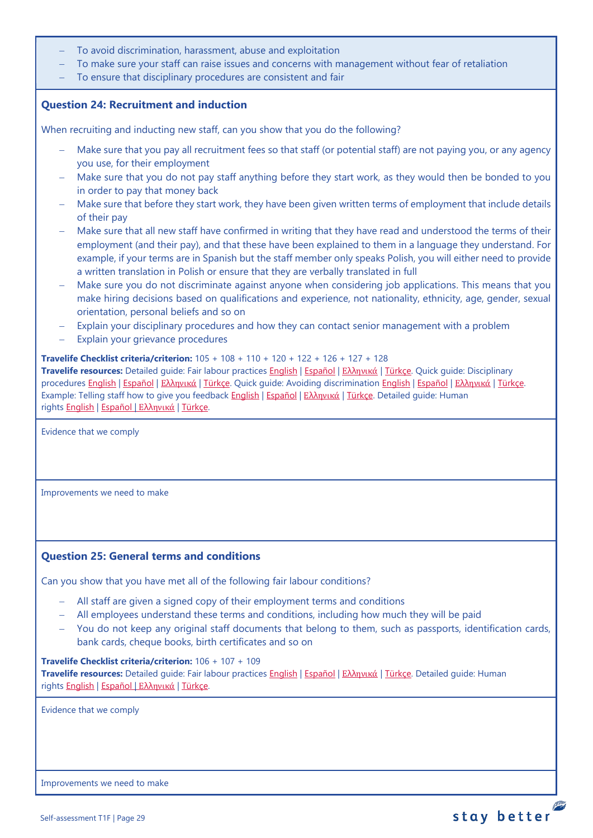- To avoid discrimination, harassment, abuse and exploitation
- To make sure your staff can raise issues and concerns with management without fear of retaliation
- To ensure that disciplinary procedures are consistent and fair

## <span id="page-28-0"></span>**Question 24: Recruitment and induction**

When recruiting and inducting new staff, can you show that you do the following?

- Make sure that you pay all recruitment fees so that staff (or potential staff) are not paying you, or any agency you use, for their employment
- − Make sure that you do not pay staff anything before they start work, as they would then be bonded to you in order to pay that money back
- − Make sure that before they start work, they have been given written terms of employment that include details of their pay
- − Make sure that all new staff have confirmed in writing that they have read and understood the terms of their employment (and their pay), and that these have been explained to them in a language they understand. For example, if your terms are in Spanish but the staff member only speaks Polish, you will either need to provide a written translation in Polish or ensure that they are verbally translated in full
- Make sure you do not discriminate against anyone when considering job applications. This means that you make hiring decisions based on qualifications and experience, not nationality, ethnicity, age, gender, sexual orientation, personal beliefs and so on
- Explain your disciplinary procedures and how they can contact senior management with a problem
- Explain your grievance procedures

#### **Travelife Checklist criteria/criterion:** 105 + 108 + 110 + 120 + 122 + 126 + 127 + 128

**Travelife resources:** Detailed guide: Fair labour practices [English](https://travelifestaybetter.com/wp-content/uploads/2021/01/10-Detailed-Guide-Fair-Labour-Practices.pdf) | [Español](https://travelifestaybetter.com/wp-content/uploads/2021/01/10-ES-Detailed-Guide-Fair-Labour-Practices.pdf) | Ελλ[ηνικά](https://travelifestaybetter.com/wp-content/uploads/2021/01/10-GR-Detailed-Guide-Fair-Labour-Practices.pdf) | [Türkçe.](https://travelifestaybetter.com/wp-content/uploads/2021/01/10-Detailed-Guide-Fair-Labour-Practices-TR-Adil-Is-Gucu-Uygulamalari-Detayli-Kilavuz.pdf) Quick guide: Disciplinary procedures [English](https://travelifestaybetter.com/wp-content/uploads/2019/02/13-Quick-Guide-Avoiding-Workplace-Discrimination.pdf) | Εspañol | Ελλ[ηνικά](https://travelifestaybetter.com/wp-content/uploads/2020/07/38-Quick-Guide-Avoiding-Workplace-Discrimination-GR.pdf) | [Türkçe.](https://travelifestaybetter.com/wp-content/uploads/2020/08/11-Quick-Guide-Disciplinary-Procedures-TR-11-Hizli-Kilavuz-Disiplin-Proseduru.pdf) Quick guide: Avoiding discrimination English | Εspañol | Ελληνικά | [Türkçe.](https://travelifestaybetter.com/wp-content/uploads/2020/10/13-Quick-Guide-Avoiding-Workplace-Discrimination-TR-Isyerinde-Ayrimciligi-Onlemek-icin-Hizli-Kilavuz.pdf) Example: Telling staff how to give you feedback [English](https://travelifestaybetter.com/wp-content/uploads/2019/02/6-Example-Feedback-Instructions-for-Staff.pdf) | [Español](https://travelifestaybetter.com/wp-content/uploads/2019/02/6-ES-Example-Feedback-Instructions-for-Staff.pdf) | Ελλ[ηνικά](https://travelifestaybetter.com/wp-content/uploads/2021/01/6-GR-Example-Feedback-Instructions-for-Staff.pdf) | [Türkçe.](https://travelifestaybetter.com/wp-content/uploads/2020/08/6-Example-Feedback-Instructions-for-Staff-TR-6-Ornek-Calisan-Geri-Bildirim-Talimati.pdf) Detailed guide: Human rights [English](https://travelifestaybetter.com/wp-content/uploads/2021/01/8-Detailed-Guide-Human-Rights.pdf) | [Español](https://travelifestaybetter.com/wp-content/uploads/2021/01/8-ES-Detailed-Guide-Human-Rights.pdf) | Ελλ[ηνικά](https://travelifestaybetter.com/wp-content/uploads/2021/01/8-GR-Detailed-Guide-Human-Rights.pdf) | [Türkçe.](https://travelifestaybetter.com/wp-content/uploads/2021/01/8-Detailed-Guide-Human-Rights-TR-Insan-Haklari-Detayli-Kilavuz.pdf)

Evidence that we comply

Improvements we need to make

## <span id="page-28-1"></span>**Question 25: General terms and conditions**

Can you show that you have met all of the following fair labour conditions?

- − All staff are given a signed copy of their employment terms and conditions
- − All employees understand these terms and conditions, including how much they will be paid
- − You do not keep any original staff documents that belong to them, such as passports, identification cards, bank cards, cheque books, birth certificates and so on

#### **Travelife Checklist criteria/criterion:** 106 + 107 + 109

**Travelife resources:** Detailed guide: Fair labour practices [English](https://travelifestaybetter.com/wp-content/uploads/2021/01/10-Detailed-Guide-Fair-Labour-Practices.pdf) | [Español](https://travelifestaybetter.com/wp-content/uploads/2021/01/10-ES-Detailed-Guide-Fair-Labour-Practices.pdf) | Ελλ[ηνικά](https://travelifestaybetter.com/wp-content/uploads/2021/01/10-GR-Detailed-Guide-Fair-Labour-Practices.pdf) | [Türkçe.](https://travelifestaybetter.com/wp-content/uploads/2021/01/10-Detailed-Guide-Fair-Labour-Practices-TR-Adil-Is-Gucu-Uygulamalari-Detayli-Kilavuz.pdf) Detailed guide: Human rights [English](https://travelifestaybetter.com/wp-content/uploads/2021/01/8-Detailed-Guide-Human-Rights.pdf) | [Español](https://travelifestaybetter.com/wp-content/uploads/2021/01/8-ES-Detailed-Guide-Human-Rights.pdf) | Ελλ[ηνικά](https://travelifestaybetter.com/wp-content/uploads/2021/01/8-GR-Detailed-Guide-Human-Rights.pdf) | [Türkçe.](https://travelifestaybetter.com/wp-content/uploads/2021/01/8-Detailed-Guide-Human-Rights-TR-Insan-Haklari-Detayli-Kilavuz.pdf)

Evidence that we comply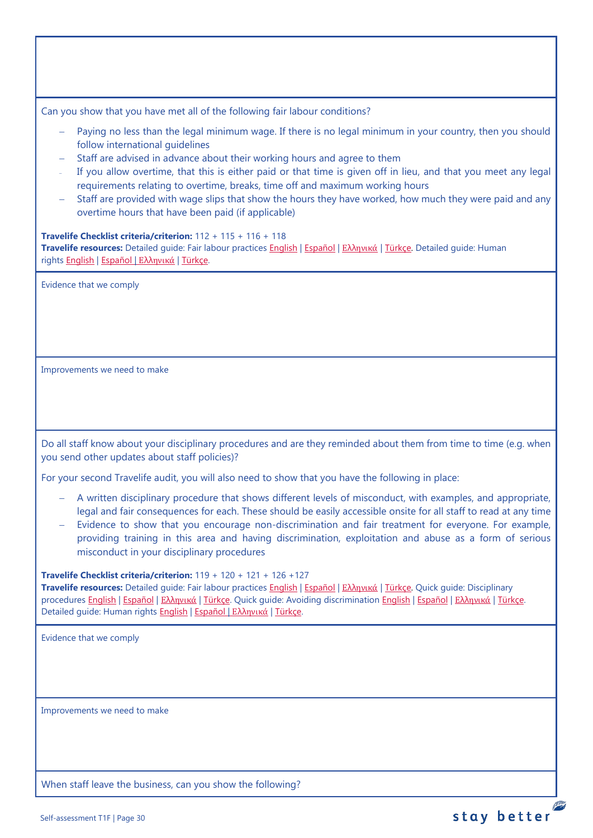Can you show that you have met all of the following fair labour conditions?

- Paying no less than the legal minimum wage. If there is no legal minimum in your country, then you should follow international guidelines
- Staff are advised in advance about their working hours and agree to them
- <sup>−</sup> If you allow overtime, that this is either paid or that time is given off in lieu, and that you meet any legal requirements relating to overtime, breaks, time off and maximum working hours
- − Staff are provided with wage slips that show the hours they have worked, how much they were paid and any overtime hours that have been paid (if applicable)

#### **Travelife Checklist criteria/criterion:** 112 + 115 + 116 + 118

**Travelife resources:** Detailed guide: Fair labour practices [English](https://travelifestaybetter.com/wp-content/uploads/2021/01/10-Detailed-Guide-Fair-Labour-Practices.pdf) | [Español](https://travelifestaybetter.com/wp-content/uploads/2021/01/10-ES-Detailed-Guide-Fair-Labour-Practices.pdf) | Ελλ[ηνικά](https://travelifestaybetter.com/wp-content/uploads/2021/01/10-GR-Detailed-Guide-Fair-Labour-Practices.pdf) | [Türkçe.](https://travelifestaybetter.com/wp-content/uploads/2021/01/10-Detailed-Guide-Fair-Labour-Practices-TR-Adil-Is-Gucu-Uygulamalari-Detayli-Kilavuz.pdf) Detailed guide: Human rights [English](https://travelifestaybetter.com/wp-content/uploads/2021/01/8-Detailed-Guide-Human-Rights.pdf) | [Español](https://travelifestaybetter.com/wp-content/uploads/2021/01/8-ES-Detailed-Guide-Human-Rights.pdf) | Ελλ[ηνικά](https://travelifestaybetter.com/wp-content/uploads/2021/01/8-GR-Detailed-Guide-Human-Rights.pdf) | [Türkçe.](https://travelifestaybetter.com/wp-content/uploads/2021/01/8-Detailed-Guide-Human-Rights-TR-Insan-Haklari-Detayli-Kilavuz.pdf)

Evidence that we comply

Improvements we need to make

Do all staff know about your disciplinary procedures and are they reminded about them from time to time (e.g. when you send other updates about staff policies)?

For your second Travelife audit, you will also need to show that you have the following in place:

- − A written disciplinary procedure that shows different levels of misconduct, with examples, and appropriate, legal and fair consequences for each. These should be easily accessible onsite for all staff to read at any time
- Evidence to show that you encourage non-discrimination and fair treatment for everyone. For example, providing training in this area and having discrimination, exploitation and abuse as a form of serious misconduct in your disciplinary procedures

#### **Travelife Checklist criteria/criterion:** 119 + 120 + 121 + 126 +127

**Travelife resources:** Detailed guide: Fair labour practices [English](https://travelifestaybetter.com/wp-content/uploads/2021/01/10-Detailed-Guide-Fair-Labour-Practices.pdf) | [Español](https://travelifestaybetter.com/wp-content/uploads/2021/01/10-ES-Detailed-Guide-Fair-Labour-Practices.pdf) | Ελλ[ηνικά](https://travelifestaybetter.com/wp-content/uploads/2021/01/10-GR-Detailed-Guide-Fair-Labour-Practices.pdf) | [Türkçe.](https://travelifestaybetter.com/wp-content/uploads/2021/01/10-Detailed-Guide-Fair-Labour-Practices-TR-Adil-Is-Gucu-Uygulamalari-Detayli-Kilavuz.pdf) Quick guide: Disciplinary procedures [English](https://travelifestaybetter.com/wp-content/uploads/2019/02/11-Quick-Guide-Disciplinary-Procedures.pdf) | [Español](https://travelifestaybetter.com/wp-content/uploads/2019/02/11-ES-Quick-Guide-Disciplinary-Procedures.pdf) | Ελλ[ηνικά](https://travelifestaybetter.com/wp-content/uploads/2020/07/36-Quick-Guide-Disciplinary-Procedures-GR.pdf) | [Türkçe.](https://travelifestaybetter.com/wp-content/uploads/2020/08/11-Quick-Guide-Disciplinary-Procedures-TR-11-Hizli-Kilavuz-Disiplin-Proseduru.pdf) Quick guide: Avoiding discrimination [English](https://travelifestaybetter.com/wp-content/uploads/2019/02/13-Quick-Guide-Avoiding-Workplace-Discrimination.pdf) | [Español](https://travelifestaybetter.com/wp-content/uploads/2019/02/13-ES-Quick-Guide-Avoiding-Workplace-Discrimination.pdf) | Ελλ[ηνικά](https://travelifestaybetter.com/wp-content/uploads/2020/07/38-Quick-Guide-Avoiding-Workplace-Discrimination-GR.pdf) | [Türkçe.](https://travelifestaybetter.com/wp-content/uploads/2020/10/13-Quick-Guide-Avoiding-Workplace-Discrimination-TR-Isyerinde-Ayrimciligi-Onlemek-icin-Hizli-Kilavuz.pdf) Detailed guide: Human rights [English](https://travelifestaybetter.com/wp-content/uploads/2021/01/8-Detailed-Guide-Human-Rights.pdf) | Εspañol | Ελλ[ηνικά](https://travelifestaybetter.com/wp-content/uploads/2021/01/8-GR-Detailed-Guide-Human-Rights.pdf) | [Türkçe.](https://travelifestaybetter.com/wp-content/uploads/2021/01/8-Detailed-Guide-Human-Rights-TR-Insan-Haklari-Detayli-Kilavuz.pdf)

Evidence that we comply

Improvements we need to make

When staff leave the business, can you show the following?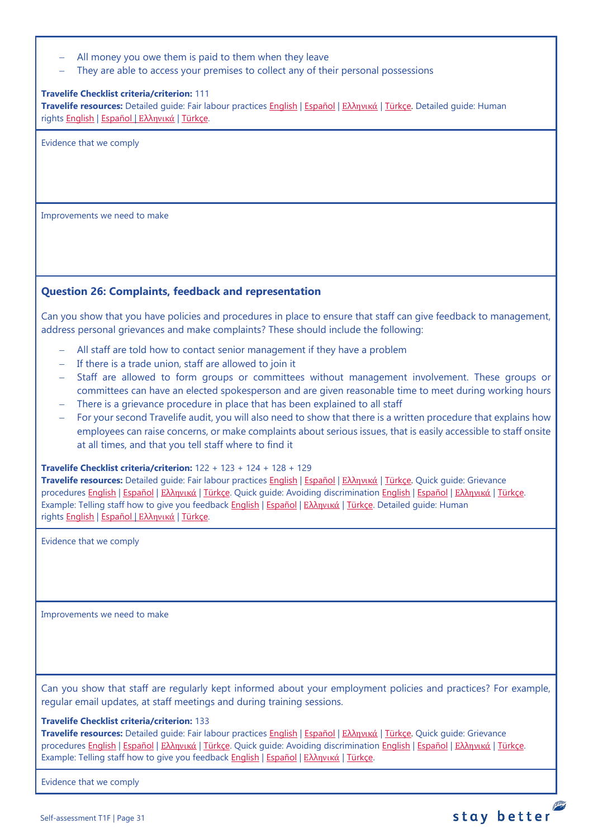|  | All money you owe them is paid to them when they leave |  |  |  |  |  |  |  |  |  |  |
|--|--------------------------------------------------------|--|--|--|--|--|--|--|--|--|--|
|--|--------------------------------------------------------|--|--|--|--|--|--|--|--|--|--|

They are able to access your premises to collect any of their personal possessions

#### **Travelife Checklist criteria/criterion:** 111

**Travelife resources:** Detailed guide: Fair labour practices [English](https://travelifestaybetter.com/wp-content/uploads/2021/01/10-Detailed-Guide-Fair-Labour-Practices.pdf) | [Español](https://travelifestaybetter.com/wp-content/uploads/2021/01/10-ES-Detailed-Guide-Fair-Labour-Practices.pdf) | Ελλ[ηνικά](https://travelifestaybetter.com/wp-content/uploads/2021/01/10-GR-Detailed-Guide-Fair-Labour-Practices.pdf) | [Türkçe.](https://travelifestaybetter.com/wp-content/uploads/2021/01/10-Detailed-Guide-Fair-Labour-Practices-TR-Adil-Is-Gucu-Uygulamalari-Detayli-Kilavuz.pdf) Detailed guide: Human rights [English](https://travelifestaybetter.com/wp-content/uploads/2021/01/8-Detailed-Guide-Human-Rights.pdf) | [Español](https://travelifestaybetter.com/wp-content/uploads/2021/01/8-ES-Detailed-Guide-Human-Rights.pdf) | Ελλ[ηνικά](https://travelifestaybetter.com/wp-content/uploads/2021/01/8-GR-Detailed-Guide-Human-Rights.pdf) | [Türkçe.](https://travelifestaybetter.com/wp-content/uploads/2021/01/8-Detailed-Guide-Human-Rights-TR-Insan-Haklari-Detayli-Kilavuz.pdf)

Evidence that we comply

Improvements we need to make

### <span id="page-30-0"></span>**Question 26: Complaints, feedback and representation**

Can you show that you have policies and procedures in place to ensure that staff can give feedback to management, address personal grievances and make complaints? These should include the following:

- − All staff are told how to contact senior management if they have a problem
- − If there is a trade union, staff are allowed to join it
- − Staff are allowed to form groups or committees without management involvement. These groups or committees can have an elected spokesperson and are given reasonable time to meet during working hours
- − There is a grievance procedure in place that has been explained to all staff
- − For your second Travelife audit, you will also need to show that there is a written procedure that explains how employees can raise concerns, or make complaints about serious issues, that is easily accessible to staff onsite at all times, and that you tell staff where to find it

**Travelife Checklist criteria/criterion:** 122 + 123 + 124 + 128 + 129

**Travelife resources:** Detailed guide: Fair labour practices [English](https://travelifestaybetter.com/wp-content/uploads/2021/01/10-Detailed-Guide-Fair-Labour-Practices.pdf) | [Español](https://travelifestaybetter.com/wp-content/uploads/2021/01/10-ES-Detailed-Guide-Fair-Labour-Practices.pdf) | Ελλ[ηνικά](https://travelifestaybetter.com/wp-content/uploads/2021/01/10-GR-Detailed-Guide-Fair-Labour-Practices.pdf) | [Türkçe.](https://travelifestaybetter.com/wp-content/uploads/2021/01/10-Detailed-Guide-Fair-Labour-Practices-TR-Adil-Is-Gucu-Uygulamalari-Detayli-Kilavuz.pdf) Quick guide: Grievance procedures [English](https://travelifestaybetter.com/wp-content/uploads/2019/02/13-Quick-Guide-Avoiding-Workplace-Discrimination.pdf) | Εspañol | Ελλ[ηνικά](https://travelifestaybetter.com/wp-content/uploads/2020/07/38-Quick-Guide-Avoiding-Workplace-Discrimination-GR.pdf) | [Türkçe.](https://travelifestaybetter.com/wp-content/uploads/2020/08/12-Quick-Guide-Grievance-Procedures-TR-12-Hizli-Kilavuz-Sikayet-Proseduru.pdf) Quick guide: Avoiding discrimination English | Εspañol | Ελληνικά | [Türkçe.](https://travelifestaybetter.com/wp-content/uploads/2020/10/13-Quick-Guide-Avoiding-Workplace-Discrimination-TR-Isyerinde-Ayrimciligi-Onlemek-icin-Hizli-Kilavuz.pdf) Example: Telling staff how to give you feedback [English](https://travelifestaybetter.com/wp-content/uploads/2019/02/6-Example-Feedback-Instructions-for-Staff.pdf) | [Español](https://travelifestaybetter.com/wp-content/uploads/2019/02/6-ES-Example-Feedback-Instructions-for-Staff.pdf) | Ελλ[ηνικά](https://travelifestaybetter.com/wp-content/uploads/2021/01/6-GR-Example-Feedback-Instructions-for-Staff.pdf) | [Türkçe.](https://travelifestaybetter.com/wp-content/uploads/2020/08/6-Example-Feedback-Instructions-for-Staff-TR-6-Ornek-Calisan-Geri-Bildirim-Talimati.pdf) Detailed guide: Human rights [English](https://travelifestaybetter.com/wp-content/uploads/2021/01/8-Detailed-Guide-Human-Rights.pdf) | [Español](https://travelifestaybetter.com/wp-content/uploads/2021/01/8-ES-Detailed-Guide-Human-Rights.pdf) | Ελλ[ηνικά](https://travelifestaybetter.com/wp-content/uploads/2021/01/8-GR-Detailed-Guide-Human-Rights.pdf) | [Türkçe.](https://travelifestaybetter.com/wp-content/uploads/2021/01/8-Detailed-Guide-Human-Rights-TR-Insan-Haklari-Detayli-Kilavuz.pdf)

Evidence that we comply

Improvements we need to make

Can you show that staff are regularly kept informed about your employment policies and practices? For example, regular email updates, at staff meetings and during training sessions.

#### **Travelife Checklist criteria/criterion:** 133

**Travelife resources:** Detailed guide: Fair labour practices [English](https://travelifestaybetter.com/wp-content/uploads/2021/01/10-Detailed-Guide-Fair-Labour-Practices.pdf) | [Español](https://travelifestaybetter.com/wp-content/uploads/2021/01/10-ES-Detailed-Guide-Fair-Labour-Practices.pdf) | Ελλ[ηνικά](https://travelifestaybetter.com/wp-content/uploads/2021/01/10-GR-Detailed-Guide-Fair-Labour-Practices.pdf) | [Türkçe.](https://travelifestaybetter.com/wp-content/uploads/2021/01/10-Detailed-Guide-Fair-Labour-Practices-TR-Adil-Is-Gucu-Uygulamalari-Detayli-Kilavuz.pdf) Quick guide: Grievance procedures [English](https://travelifestaybetter.com/wp-content/uploads/2019/02/12-Quick-Guide-Grievance-Procedures.pdf) | [Español](https://travelifestaybetter.com/wp-content/uploads/2019/02/12-ES-Quick-Guide-Grievance-Procedures.pdf) | Ελλ[ηνικά](https://travelifestaybetter.com/wp-content/uploads/2020/07/37-Quick-Guide-Grievance-Procedures-GR.pdf) | [Türkçe.](https://travelifestaybetter.com/wp-content/uploads/2020/08/12-Quick-Guide-Grievance-Procedures-TR-12-Hizli-Kilavuz-Sikayet-Proseduru.pdf) Quick guide: Avoiding discrimination [English](https://travelifestaybetter.com/wp-content/uploads/2019/02/13-Quick-Guide-Avoiding-Workplace-Discrimination.pdf) | [Español](https://travelifestaybetter.com/wp-content/uploads/2019/02/13-ES-Quick-Guide-Avoiding-Workplace-Discrimination.pdf) | Ελλ[ηνικά](https://travelifestaybetter.com/wp-content/uploads/2020/07/38-Quick-Guide-Avoiding-Workplace-Discrimination-GR.pdf) | [Türkçe.](https://travelifestaybetter.com/wp-content/uploads/2020/10/13-Quick-Guide-Avoiding-Workplace-Discrimination-TR-Isyerinde-Ayrimciligi-Onlemek-icin-Hizli-Kilavuz.pdf) Example: Telling staff how to give you feedback [English](https://travelifestaybetter.com/wp-content/uploads/2019/02/6-Example-Feedback-Instructions-for-Staff.pdf) | [Español](https://travelifestaybetter.com/wp-content/uploads/2019/02/6-ES-Example-Feedback-Instructions-for-Staff.pdf) | Ελλ[ηνικά](https://travelifestaybetter.com/wp-content/uploads/2021/01/6-GR-Example-Feedback-Instructions-for-Staff.pdf) | [Türkçe.](https://travelifestaybetter.com/wp-content/uploads/2020/08/6-Example-Feedback-Instructions-for-Staff-TR-6-Ornek-Calisan-Geri-Bildirim-Talimati.pdf)

Evidence that we comply